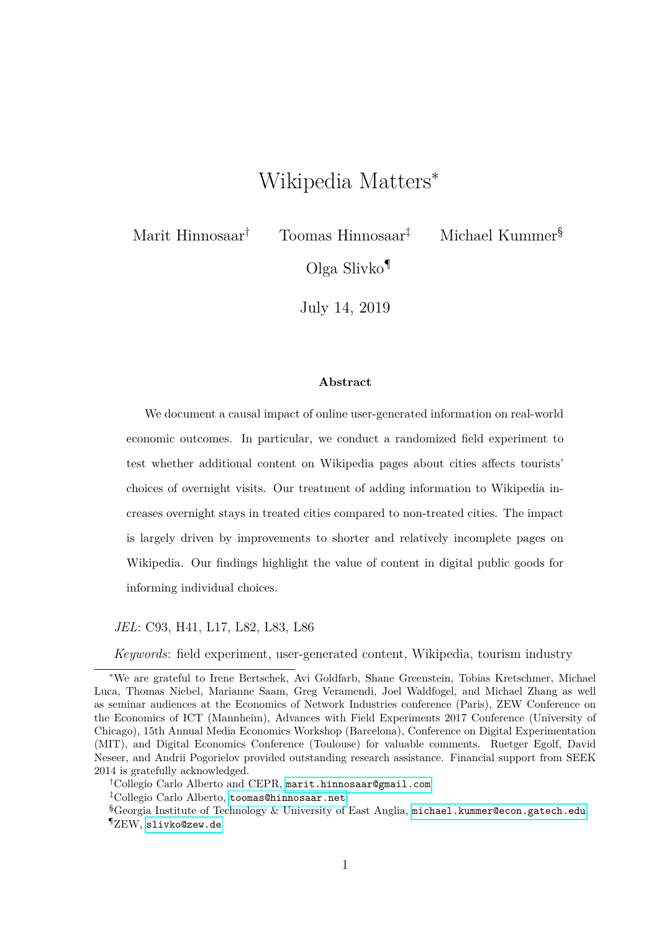# Wikipedia Matters<sup>∗</sup>

Marit Hinnosaar† Toomas Hinnosaar‡ Michael Kummer§

Olga Slivko¶

July 14, 2019

#### **Abstract**

We document a causal impact of online user-generated information on real-world economic outcomes. In particular, we conduct a randomized field experiment to test whether additional content on Wikipedia pages about cities affects tourists' choices of overnight visits. Our treatment of adding information to Wikipedia increases overnight stays in treated cities compared to non-treated cities. The impact is largely driven by improvements to shorter and relatively incomplete pages on Wikipedia. Our findings highlight the value of content in digital public goods for informing individual choices.

*JEL*: C93, H41, L17, L82, L83, L86

*Keywords*: field experiment, user-generated content, Wikipedia, tourism industry

<sup>∗</sup>We are grateful to Irene Bertschek, Avi Goldfarb, Shane Greenstein, Tobias Kretschmer, Michael Luca, Thomas Niebel, Marianne Saam, Greg Veramendi, Joel Waldfogel, and Michael Zhang as well as seminar audiences at the Economics of Network Industries conference (Paris), ZEW Conference on the Economics of ICT (Mannheim), Advances with Field Experiments 2017 Conference (University of Chicago), 15th Annual Media Economics Workshop (Barcelona), Conference on Digital Experimentation (MIT), and Digital Economics Conference (Toulouse) for valuable comments. Ruetger Egolf, David Neseer, and Andrii Pogorielov provided outstanding research assistance. Financial support from SEEK 2014 is gratefully acknowledged.

<sup>†</sup>Collegio Carlo Alberto and CEPR, [marit.hinnosaar@gmail.com](mailto:marit.hinnosaar@gmail.com)

<sup>‡</sup>Collegio Carlo Alberto, [toomas@hinnosaar.net](mailto:toomas@hinnosaar.net)

 $\S$ Georgia Institute of Technology & University of East Anglia, [michael.kummer@econ.gatech.edu](mailto:michael.kummer@econ.gatech.edu) ¶ZEW, [slivko@zew.de](mailto:slivko@zew.de)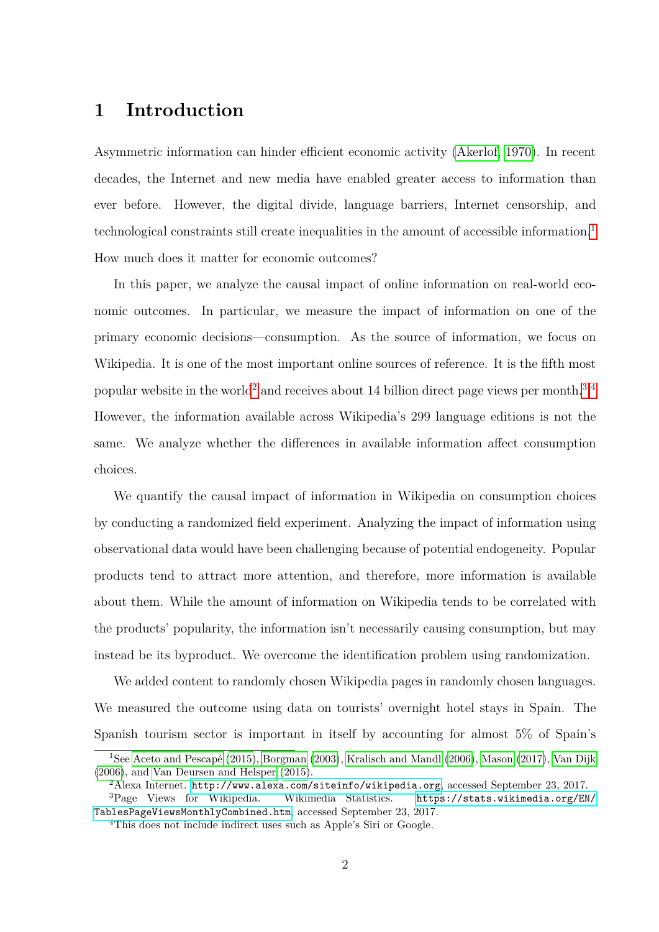# **1 Introduction**

Asymmetric information can hinder efficient economic activity [\(Akerlof, 1970\)](#page-18-0). In recent decades, the Internet and new media have enabled greater access to information than ever before. However, the digital divide, language barriers, Internet censorship, and technological constraints still create inequalities in the amount of accessible information.<sup>[1](#page-1-0)</sup> How much does it matter for economic outcomes?

In this paper, we analyze the causal impact of online information on real-world economic outcomes. In particular, we measure the impact of information on one of the primary economic decisions—consumption. As the source of information, we focus on Wikipedia. It is one of the most important online sources of reference. It is the fifth most popular website in the world[2](#page-1-1) and receives about 14 billion direct page views per month.[3](#page-1-2)*,*[4](#page-1-3) However, the information available across Wikipedia's 299 language editions is not the same. We analyze whether the differences in available information affect consumption choices.

We quantify the causal impact of information in Wikipedia on consumption choices by conducting a randomized field experiment. Analyzing the impact of information using observational data would have been challenging because of potential endogeneity. Popular products tend to attract more attention, and therefore, more information is available about them. While the amount of information on Wikipedia tends to be correlated with the products' popularity, the information isn't necessarily causing consumption, but may instead be its byproduct. We overcome the identification problem using randomization.

We added content to randomly chosen Wikipedia pages in randomly chosen languages. We measured the outcome using data on tourists' overnight hotel stays in Spain. The Spanish tourism sector is important in itself by accounting for almost 5% of Spain's

<span id="page-1-0"></span><sup>1</sup>See [Aceto and Pescapé](#page-18-1) [\(2015\)](#page-18-1), [Borgman](#page-19-0) [\(2003\)](#page-19-0), [Kralisch and Mandl](#page-21-0) [\(2006\)](#page-21-0), [Mason](#page-21-1) [\(2017\)](#page-21-1), [Van Dijk](#page-22-0) [\(2006\)](#page-22-0), and [Van Deursen and Helsper](#page-22-1) [\(2015\)](#page-22-1).

<span id="page-1-2"></span><span id="page-1-1"></span><sup>&</sup>lt;sup>2</sup>Alexa Internet. <http://www.alexa.com/siteinfo/wikipedia.org>, accessed September 23, 2017.

 ${}^{3}$ Page Views for Wikipedia. Wikimedia Statistics. [https://stats.wikimedia.org/EN/](https://stats.wikimedia.org/EN/TablesPageViewsMonthlyCombined.htm) [TablesPageViewsMonthlyCombined.htm](https://stats.wikimedia.org/EN/TablesPageViewsMonthlyCombined.htm), accessed September 23, 2017.

<span id="page-1-3"></span><sup>&</sup>lt;sup>4</sup>This does not include indirect uses such as Apple's Siri or Google.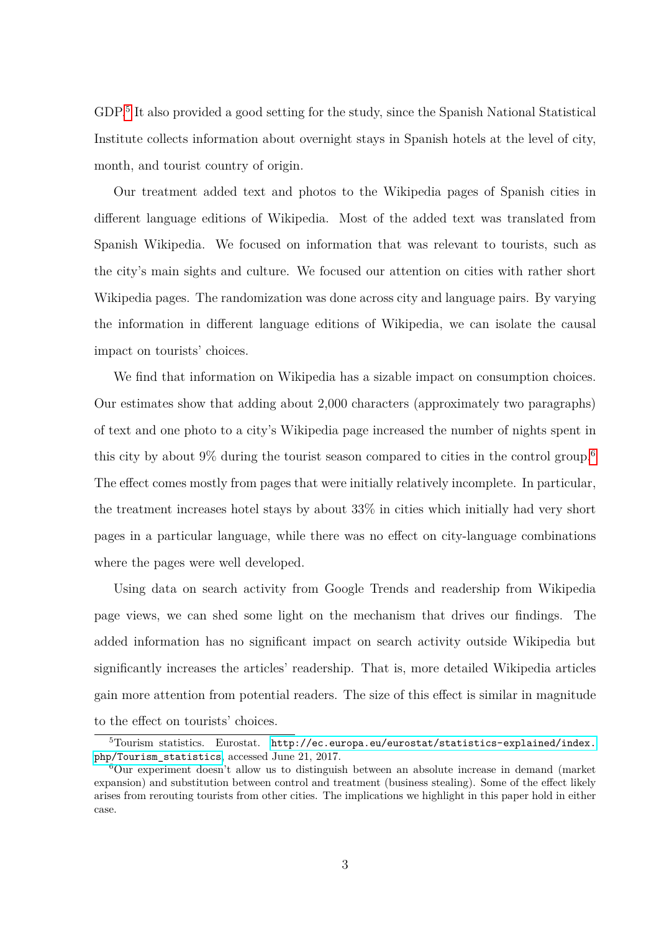GDP.[5](#page-2-0) It also provided a good setting for the study, since the Spanish National Statistical Institute collects information about overnight stays in Spanish hotels at the level of city, month, and tourist country of origin.

Our treatment added text and photos to the Wikipedia pages of Spanish cities in different language editions of Wikipedia. Most of the added text was translated from Spanish Wikipedia. We focused on information that was relevant to tourists, such as the city's main sights and culture. We focused our attention on cities with rather short Wikipedia pages. The randomization was done across city and language pairs. By varying the information in different language editions of Wikipedia, we can isolate the causal impact on tourists' choices.

We find that information on Wikipedia has a sizable impact on consumption choices. Our estimates show that adding about 2,000 characters (approximately two paragraphs) of text and one photo to a city's Wikipedia page increased the number of nights spent in this city by about 9% during the tourist season compared to cities in the control group.<sup>[6](#page-2-1)</sup> The effect comes mostly from pages that were initially relatively incomplete. In particular, the treatment increases hotel stays by about 33% in cities which initially had very short pages in a particular language, while there was no effect on city-language combinations where the pages were well developed.

Using data on search activity from Google Trends and readership from Wikipedia page views, we can shed some light on the mechanism that drives our findings. The added information has no significant impact on search activity outside Wikipedia but significantly increases the articles' readership. That is, more detailed Wikipedia articles gain more attention from potential readers. The size of this effect is similar in magnitude to the effect on tourists' choices.

<span id="page-2-0"></span><sup>&</sup>lt;sup>5</sup>Tourism statistics. Eurostat. [http://ec.europa.eu/eurostat/statistics-explained/index.](http://ec.europa.eu/eurostat/statistics-explained/index.php/Tourism_statistics) [php/Tourism\\_statistics](http://ec.europa.eu/eurostat/statistics-explained/index.php/Tourism_statistics), accessed June 21, 2017.

<span id="page-2-1"></span> $6$ Our experiment doesn't allow us to distinguish between an absolute increase in demand (market expansion) and substitution between control and treatment (business stealing). Some of the effect likely arises from rerouting tourists from other cities. The implications we highlight in this paper hold in either case.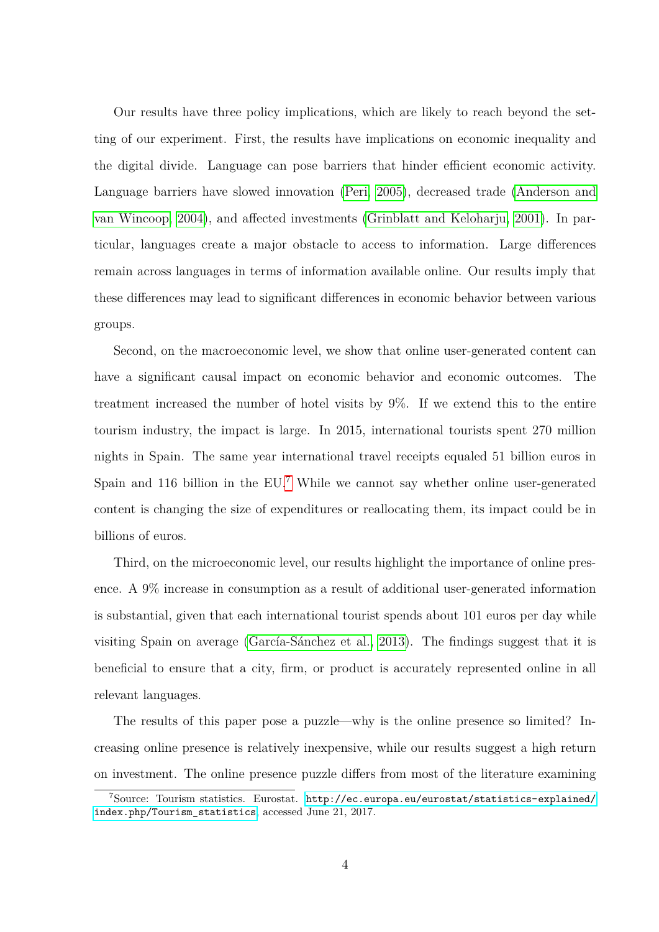Our results have three policy implications, which are likely to reach beyond the setting of our experiment. First, the results have implications on economic inequality and the digital divide. Language can pose barriers that hinder efficient economic activity. Language barriers have slowed innovation [\(Peri, 2005\)](#page-22-2), decreased trade [\(Anderson and](#page-18-2) [van Wincoop, 2004\)](#page-18-2), and affected investments [\(Grinblatt and Keloharju, 2001\)](#page-21-2). In particular, languages create a major obstacle to access to information. Large differences remain across languages in terms of information available online. Our results imply that these differences may lead to significant differences in economic behavior between various groups.

Second, on the macroeconomic level, we show that online user-generated content can have a significant causal impact on economic behavior and economic outcomes. The treatment increased the number of hotel visits by 9%. If we extend this to the entire tourism industry, the impact is large. In 2015, international tourists spent 270 million nights in Spain. The same year international travel receipts equaled 51 billion euros in Spain and 116 billion in the EU.<sup>[7](#page-3-0)</sup> While we cannot say whether online user-generated content is changing the size of expenditures or reallocating them, its impact could be in billions of euros.

Third, on the microeconomic level, our results highlight the importance of online presence. A 9% increase in consumption as a result of additional user-generated information is substantial, given that each international tourist spends about 101 euros per day while visiting Spain on average [\(García-Sánchez et al., 2013\)](#page-20-0). The findings suggest that it is beneficial to ensure that a city, firm, or product is accurately represented online in all relevant languages.

The results of this paper pose a puzzle—why is the online presence so limited? Increasing online presence is relatively inexpensive, while our results suggest a high return on investment. The online presence puzzle differs from most of the literature examining

<span id="page-3-0"></span><sup>7</sup>Source: Tourism statistics. Eurostat. [http://ec.europa.eu/eurostat/statistics-explained/](http://ec.europa.eu/eurostat/statistics-explained/index.php/Tourism_statistics) [index.php/Tourism\\_statistics](http://ec.europa.eu/eurostat/statistics-explained/index.php/Tourism_statistics), accessed June 21, 2017.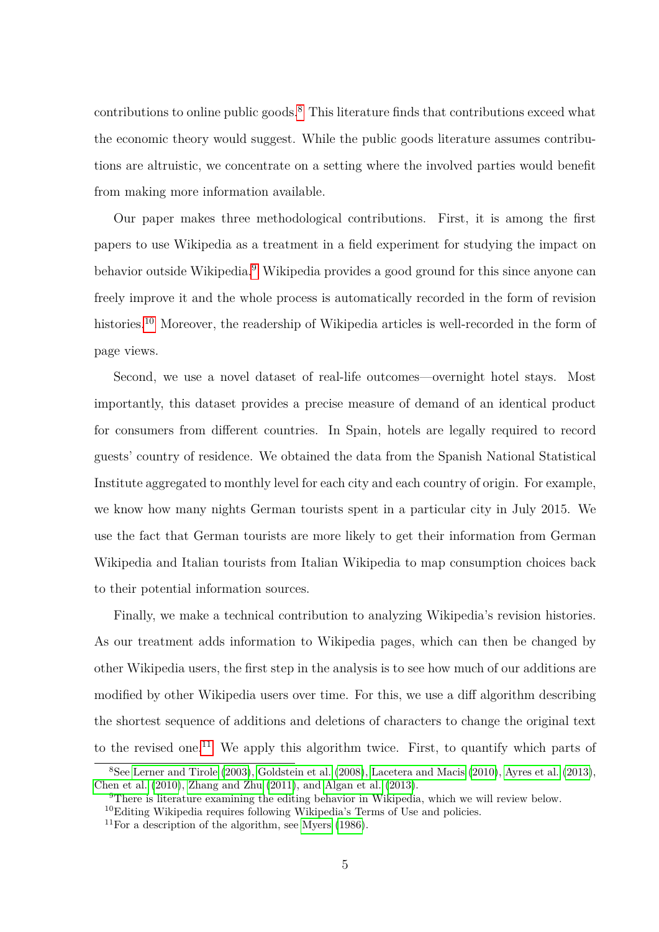contributions to online public goods.<sup>[8](#page-4-0)</sup> This literature finds that contributions exceed what the economic theory would suggest. While the public goods literature assumes contributions are altruistic, we concentrate on a setting where the involved parties would benefit from making more information available.

Our paper makes three methodological contributions. First, it is among the first papers to use Wikipedia as a treatment in a field experiment for studying the impact on behavior outside Wikipedia.<sup>[9](#page-4-1)</sup> Wikipedia provides a good ground for this since anyone can freely improve it and the whole process is automatically recorded in the form of revision histories.<sup>[10](#page-4-2)</sup> Moreover, the readership of Wikipedia articles is well-recorded in the form of page views.

Second, we use a novel dataset of real-life outcomes—overnight hotel stays. Most importantly, this dataset provides a precise measure of demand of an identical product for consumers from different countries. In Spain, hotels are legally required to record guests' country of residence. We obtained the data from the Spanish National Statistical Institute aggregated to monthly level for each city and each country of origin. For example, we know how many nights German tourists spent in a particular city in July 2015. We use the fact that German tourists are more likely to get their information from German Wikipedia and Italian tourists from Italian Wikipedia to map consumption choices back to their potential information sources.

Finally, we make a technical contribution to analyzing Wikipedia's revision histories. As our treatment adds information to Wikipedia pages, which can then be changed by other Wikipedia users, the first step in the analysis is to see how much of our additions are modified by other Wikipedia users over time. For this, we use a diff algorithm describing the shortest sequence of additions and deletions of characters to change the original text to the revised one.<sup>[11](#page-4-3)</sup> We apply this algorithm twice. First, to quantify which parts of

<span id="page-4-0"></span><sup>8</sup>See [Lerner and Tirole](#page-21-3) [\(2003\)](#page-21-3), [Goldstein et al.](#page-20-1) [\(2008\)](#page-20-1), [Lacetera and Macis](#page-21-4) [\(2010\)](#page-21-4), [Ayres et al.](#page-19-1) [\(2013\)](#page-19-1), [Chen et al.](#page-19-2) [\(2010\)](#page-19-2), [Zhang and Zhu](#page-22-3) [\(2011\)](#page-22-3), and [Algan et al.](#page-18-3) [\(2013\)](#page-18-3).

<span id="page-4-2"></span><span id="page-4-1"></span><sup>9</sup>There is literature examining the editing behavior in Wikipedia, which we will review below.

 $^{10}$ Editing Wikipedia requires following Wikipedia's Terms of Use and policies.

<span id="page-4-3"></span> $11$ For a description of the algorithm, see [Myers](#page-21-5) [\(1986\)](#page-21-5).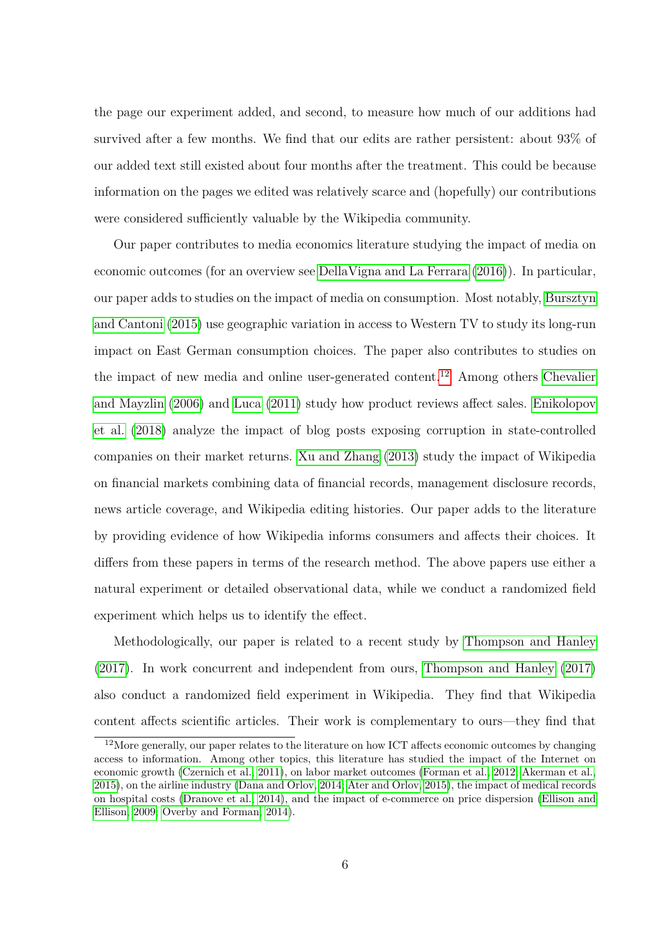the page our experiment added, and second, to measure how much of our additions had survived after a few months. We find that our edits are rather persistent: about 93% of our added text still existed about four months after the treatment. This could be because information on the pages we edited was relatively scarce and (hopefully) our contributions were considered sufficiently valuable by the Wikipedia community.

Our paper contributes to media economics literature studying the impact of media on economic outcomes (for an overview see [DellaVigna and La Ferrara](#page-20-2) [\(2016\)](#page-20-2)). In particular, our paper adds to studies on the impact of media on consumption. Most notably, [Bursztyn](#page-19-3) [and Cantoni](#page-19-3) [\(2015\)](#page-19-3) use geographic variation in access to Western TV to study its long-run impact on East German consumption choices. The paper also contributes to studies on the impact of new media and online user-generated content.<sup>[12](#page-5-0)</sup> Among others [Chevalier](#page-19-4) [and Mayzlin](#page-19-4) [\(2006\)](#page-19-4) and [Luca](#page-21-6) [\(2011\)](#page-21-6) study how product reviews affect sales. [Enikolopov](#page-20-3) [et al.](#page-20-3) [\(2018\)](#page-20-3) analyze the impact of blog posts exposing corruption in state-controlled companies on their market returns. [Xu and Zhang](#page-22-4) [\(2013\)](#page-22-4) study the impact of Wikipedia on financial markets combining data of financial records, management disclosure records, news article coverage, and Wikipedia editing histories. Our paper adds to the literature by providing evidence of how Wikipedia informs consumers and affects their choices. It differs from these papers in terms of the research method. The above papers use either a natural experiment or detailed observational data, while we conduct a randomized field experiment which helps us to identify the effect.

Methodologically, our paper is related to a recent study by [Thompson and Hanley](#page-22-5) [\(2017\)](#page-22-5). In work concurrent and independent from ours, [Thompson and Hanley](#page-22-5) [\(2017\)](#page-22-5) also conduct a randomized field experiment in Wikipedia. They find that Wikipedia content affects scientific articles. Their work is complementary to ours—they find that

<span id="page-5-0"></span> $12$ More generally, our paper relates to the literature on how ICT affects economic outcomes by changing access to information. Among other topics, this literature has studied the impact of the Internet on economic growth [\(Czernich et al., 2011\)](#page-19-5), on labor market outcomes [\(Forman et al., 2012;](#page-20-4) [Akerman et al.,](#page-18-4) [2015\)](#page-18-4), on the airline industry [\(Dana and Orlov, 2014;](#page-19-6) [Ater and Orlov, 2015\)](#page-19-7), the impact of medical records on hospital costs [\(Dranove et al., 2014\)](#page-20-5), and the impact of e-commerce on price dispersion [\(Ellison and](#page-20-6) [Ellison, 2009;](#page-20-6) [Overby and Forman, 2014\)](#page-22-6).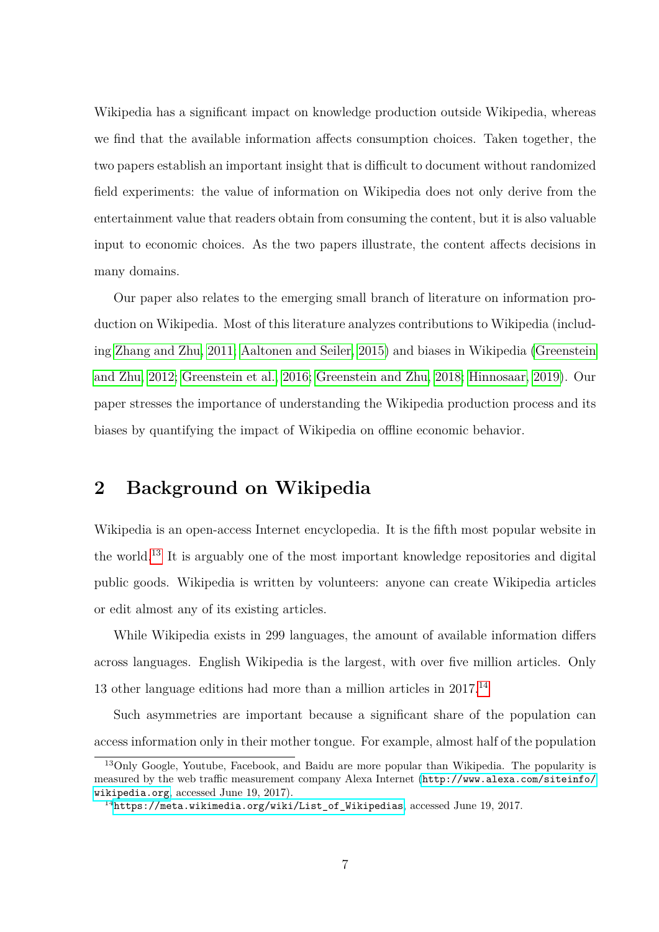Wikipedia has a significant impact on knowledge production outside Wikipedia, whereas we find that the available information affects consumption choices. Taken together, the two papers establish an important insight that is difficult to document without randomized field experiments: the value of information on Wikipedia does not only derive from the entertainment value that readers obtain from consuming the content, but it is also valuable input to economic choices. As the two papers illustrate, the content affects decisions in many domains.

Our paper also relates to the emerging small branch of literature on information production on Wikipedia. Most of this literature analyzes contributions to Wikipedia (including [Zhang and Zhu, 2011;](#page-22-3) [Aaltonen and Seiler, 2015\)](#page-18-5) and biases in Wikipedia [\(Greenstein](#page-20-7) [and Zhu, 2012;](#page-20-7) [Greenstein et al., 2016;](#page-20-8) [Greenstein and Zhu, 2018;](#page-21-7) [Hinnosaar, 2019\)](#page-21-8). Our paper stresses the importance of understanding the Wikipedia production process and its biases by quantifying the impact of Wikipedia on offline economic behavior.

# **2 Background on Wikipedia**

Wikipedia is an open-access Internet encyclopedia. It is the fifth most popular website in the world.<sup>[13](#page-6-0)</sup> It is arguably one of the most important knowledge repositories and digital public goods. Wikipedia is written by volunteers: anyone can create Wikipedia articles or edit almost any of its existing articles.

While Wikipedia exists in 299 languages, the amount of available information differs across languages. English Wikipedia is the largest, with over five million articles. Only 13 other language editions had more than a million articles in 2017.[14](#page-6-1)

Such asymmetries are important because a significant share of the population can access information only in their mother tongue. For example, almost half of the population

<span id="page-6-0"></span><sup>&</sup>lt;sup>13</sup>Only Google, Youtube, Facebook, and Baidu are more popular than Wikipedia. The popularity is measured by the web traffic measurement company Alexa Internet ([http://www.alexa.com/siteinfo/](http://www.alexa.com/siteinfo/wikipedia.org) [wikipedia.org](http://www.alexa.com/siteinfo/wikipedia.org), accessed June 19, 2017).

<span id="page-6-1"></span><sup>14</sup>[https://meta.wikimedia.org/wiki/List\\_of\\_Wikipedias](https://meta.wikimedia.org/wiki/List_of_Wikipedias), accessed June 19, 2017.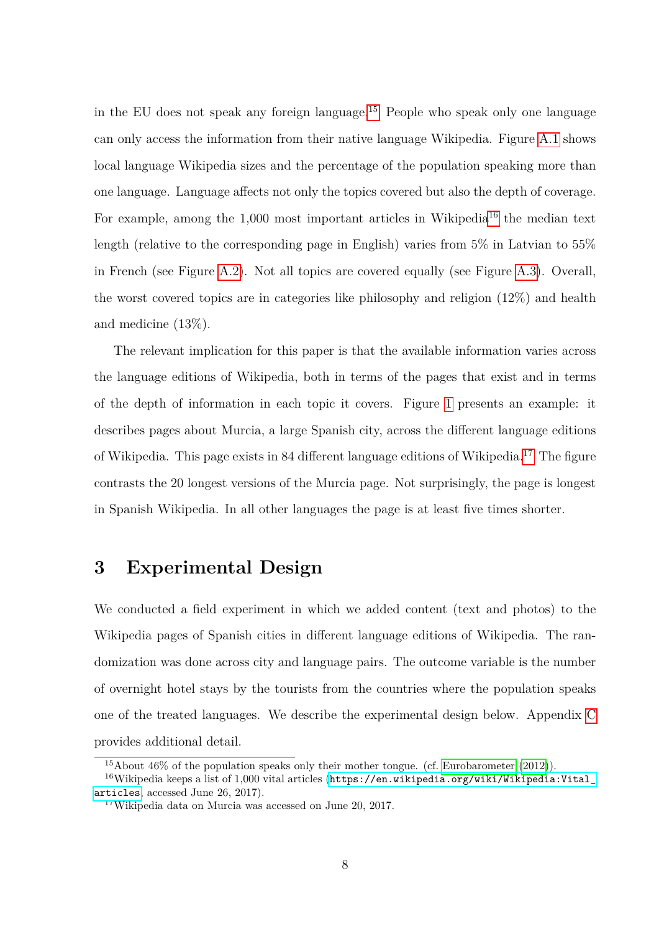in the EU does not speak any foreign language.[15](#page-7-0) People who speak only one language can only access the information from their native language Wikipedia. Figure [A.1](#page-30-0) shows local language Wikipedia sizes and the percentage of the population speaking more than one language. Language affects not only the topics covered but also the depth of coverage. For example, among the  $1,000$  most important articles in Wikipedia<sup>[16](#page-7-1)</sup> the median text length (relative to the corresponding page in English) varies from 5% in Latvian to 55% in French (see Figure [A.2\)](#page-31-0). Not all topics are covered equally (see Figure [A.3\)](#page-32-0). Overall, the worst covered topics are in categories like philosophy and religion (12%) and health and medicine (13%).

The relevant implication for this paper is that the available information varies across the language editions of Wikipedia, both in terms of the pages that exist and in terms of the depth of information in each topic it covers. Figure [1](#page-23-0) presents an example: it describes pages about Murcia, a large Spanish city, across the different language editions of Wikipedia. This page exists in 84 different language editions of Wikipedia.<sup>[17](#page-7-2)</sup> The figure contrasts the 20 longest versions of the Murcia page. Not surprisingly, the page is longest in Spanish Wikipedia. In all other languages the page is at least five times shorter.

# <span id="page-7-3"></span>**3 Experimental Design**

We conducted a field experiment in which we added content (text and photos) to the Wikipedia pages of Spanish cities in different language editions of Wikipedia. The randomization was done across city and language pairs. The outcome variable is the number of overnight hotel stays by the tourists from the countries where the population speaks one of the treated languages. We describe the experimental design below. Appendix [C](#page-37-0) provides additional detail.

<span id="page-7-1"></span><span id="page-7-0"></span><sup>15</sup>About 46% of the population speaks only their mother tongue. (cf. [Eurobarometer](#page-20-9) [\(2012\)](#page-20-9)).

 $16$ Wikipedia keeps a list of 1,000 vital articles ([https://en.wikipedia.org/wiki/Wikipedia:Vital\\_](https://en.wikipedia.org/wiki/Wikipedia:Vital_articles) [articles](https://en.wikipedia.org/wiki/Wikipedia:Vital_articles), accessed June 26, 2017).

<span id="page-7-2"></span><sup>17</sup>Wikipedia data on Murcia was accessed on June 20, 2017.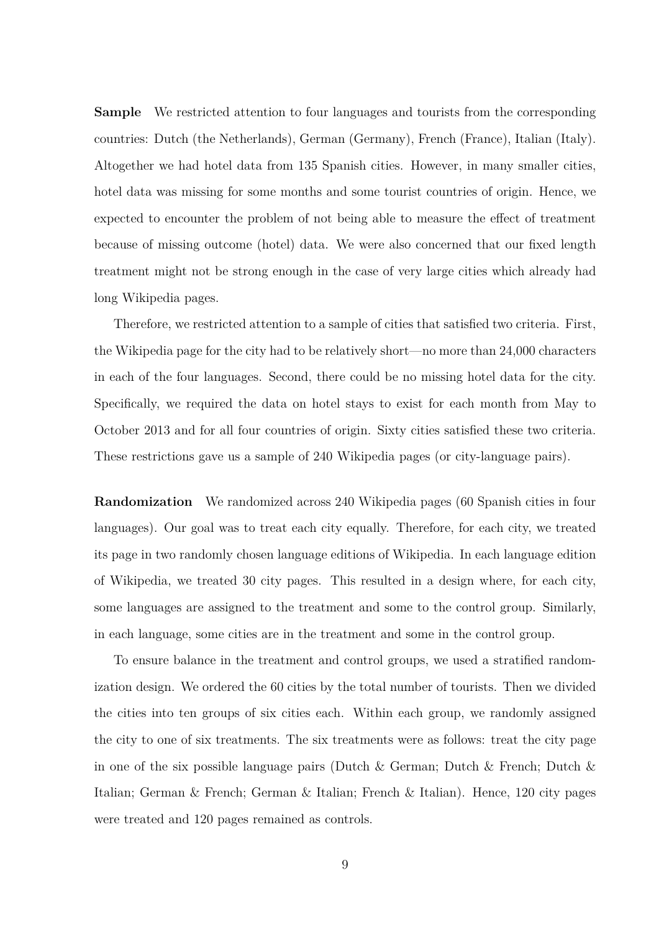**Sample** We restricted attention to four languages and tourists from the corresponding countries: Dutch (the Netherlands), German (Germany), French (France), Italian (Italy). Altogether we had hotel data from 135 Spanish cities. However, in many smaller cities, hotel data was missing for some months and some tourist countries of origin. Hence, we expected to encounter the problem of not being able to measure the effect of treatment because of missing outcome (hotel) data. We were also concerned that our fixed length treatment might not be strong enough in the case of very large cities which already had long Wikipedia pages.

Therefore, we restricted attention to a sample of cities that satisfied two criteria. First, the Wikipedia page for the city had to be relatively short—no more than 24,000 characters in each of the four languages. Second, there could be no missing hotel data for the city. Specifically, we required the data on hotel stays to exist for each month from May to October 2013 and for all four countries of origin. Sixty cities satisfied these two criteria. These restrictions gave us a sample of 240 Wikipedia pages (or city-language pairs).

**Randomization** We randomized across 240 Wikipedia pages (60 Spanish cities in four languages). Our goal was to treat each city equally. Therefore, for each city, we treated its page in two randomly chosen language editions of Wikipedia. In each language edition of Wikipedia, we treated 30 city pages. This resulted in a design where, for each city, some languages are assigned to the treatment and some to the control group. Similarly, in each language, some cities are in the treatment and some in the control group.

To ensure balance in the treatment and control groups, we used a stratified randomization design. We ordered the 60 cities by the total number of tourists. Then we divided the cities into ten groups of six cities each. Within each group, we randomly assigned the city to one of six treatments. The six treatments were as follows: treat the city page in one of the six possible language pairs (Dutch & German; Dutch & French; Dutch & Italian; German & French; German & Italian; French & Italian). Hence, 120 city pages were treated and 120 pages remained as controls.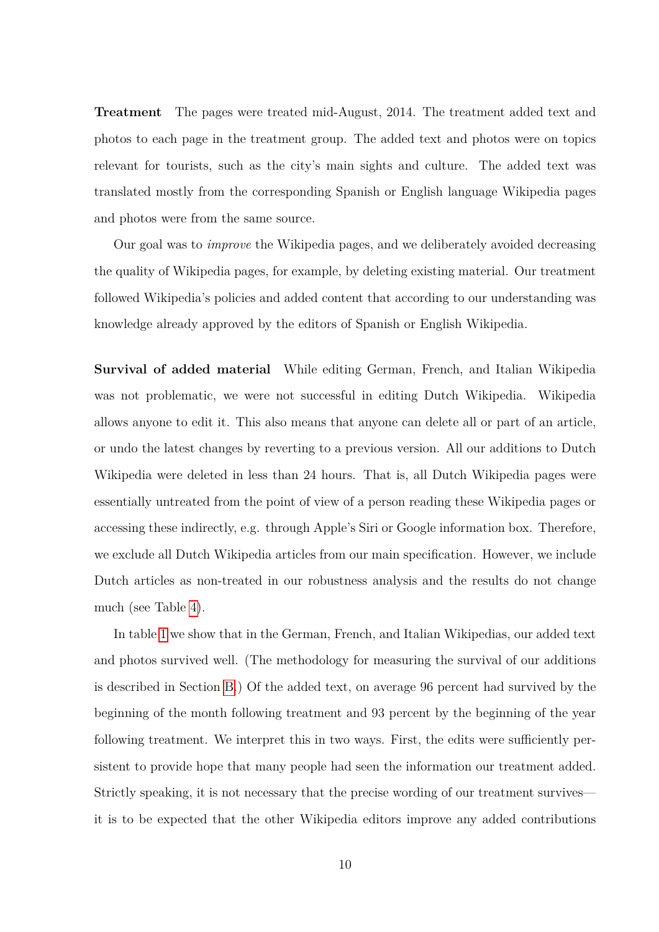**Treatment** The pages were treated mid-August, 2014. The treatment added text and photos to each page in the treatment group. The added text and photos were on topics relevant for tourists, such as the city's main sights and culture. The added text was translated mostly from the corresponding Spanish or English language Wikipedia pages and photos were from the same source.

Our goal was to *improve* the Wikipedia pages, and we deliberately avoided decreasing the quality of Wikipedia pages, for example, by deleting existing material. Our treatment followed Wikipedia's policies and added content that according to our understanding was knowledge already approved by the editors of Spanish or English Wikipedia.

**Survival of added material** While editing German, French, and Italian Wikipedia was not problematic, we were not successful in editing Dutch Wikipedia. Wikipedia allows anyone to edit it. This also means that anyone can delete all or part of an article, or undo the latest changes by reverting to a previous version. All our additions to Dutch Wikipedia were deleted in less than 24 hours. That is, all Dutch Wikipedia pages were essentially untreated from the point of view of a person reading these Wikipedia pages or accessing these indirectly, e.g. through Apple's Siri or Google information box. Therefore, we exclude all Dutch Wikipedia articles from our main specification. However, we include Dutch articles as non-treated in our robustness analysis and the results do not change much (see Table [4\)](#page-26-0).

In table [1](#page-24-0) we show that in the German, French, and Italian Wikipedias, our added text and photos survived well. (The methodology for measuring the survival of our additions is described in Section [B.](#page-36-0)) Of the added text, on average 96 percent had survived by the beginning of the month following treatment and 93 percent by the beginning of the year following treatment. We interpret this in two ways. First, the edits were sufficiently persistent to provide hope that many people had seen the information our treatment added. Strictly speaking, it is not necessary that the precise wording of our treatment survives it is to be expected that the other Wikipedia editors improve any added contributions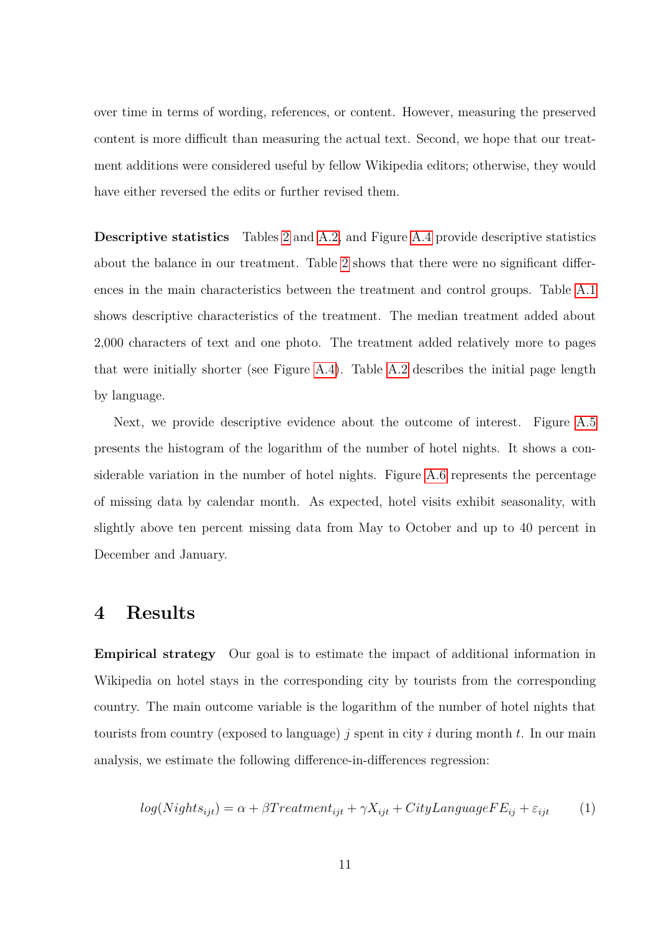over time in terms of wording, references, or content. However, measuring the preserved content is more difficult than measuring the actual text. Second, we hope that our treatment additions were considered useful by fellow Wikipedia editors; otherwise, they would have either reversed the edits or further revised them.

**Descriptive statistics** Tables [2](#page-24-1) and [A.2,](#page-28-0) and Figure [A.4](#page-33-0) provide descriptive statistics about the balance in our treatment. Table [2](#page-24-1) shows that there were no significant differences in the main characteristics between the treatment and control groups. Table [A.1](#page-28-1) shows descriptive characteristics of the treatment. The median treatment added about 2,000 characters of text and one photo. The treatment added relatively more to pages that were initially shorter (see Figure [A.4\)](#page-33-0). Table [A.2](#page-28-0) describes the initial page length by language.

Next, we provide descriptive evidence about the outcome of interest. Figure [A.5](#page-34-0) presents the histogram of the logarithm of the number of hotel nights. It shows a considerable variation in the number of hotel nights. Figure [A.6](#page-35-0) represents the percentage of missing data by calendar month. As expected, hotel visits exhibit seasonality, with slightly above ten percent missing data from May to October and up to 40 percent in December and January.

#### **4 Results**

**Empirical strategy** Our goal is to estimate the impact of additional information in Wikipedia on hotel stays in the corresponding city by tourists from the corresponding country. The main outcome variable is the logarithm of the number of hotel nights that tourists from country (exposed to language) *j* spent in city *i* during month *t*. In our main analysis, we estimate the following difference-in-differences regression:

<span id="page-10-0"></span>
$$
log(Nights_{ijt}) = \alpha + \beta Treatment_{ijt} + \gamma X_{ijt} + CityLanguageFE_{ij} + \varepsilon_{ijt}
$$
 (1)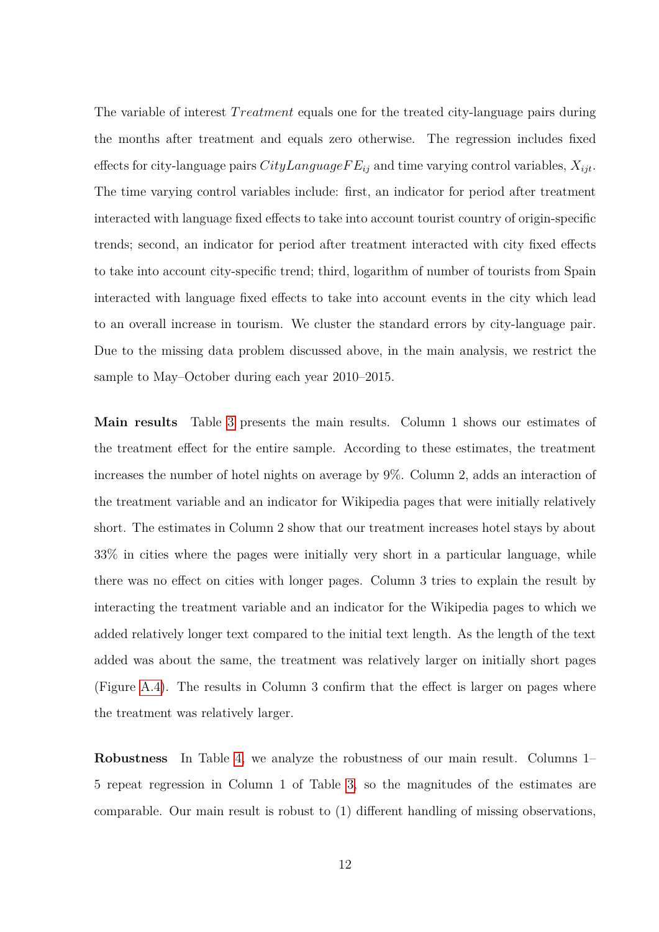The variable of interest *T reatment* equals one for the treated city-language pairs during the months after treatment and equals zero otherwise. The regression includes fixed effects for city-language pairs *CityLanguageF Eij* and time varying control variables, *Xijt*. The time varying control variables include: first, an indicator for period after treatment interacted with language fixed effects to take into account tourist country of origin-specific trends; second, an indicator for period after treatment interacted with city fixed effects to take into account city-specific trend; third, logarithm of number of tourists from Spain interacted with language fixed effects to take into account events in the city which lead to an overall increase in tourism. We cluster the standard errors by city-language pair. Due to the missing data problem discussed above, in the main analysis, we restrict the sample to May–October during each year 2010–2015.

**Main results** Table [3](#page-25-0) presents the main results. Column 1 shows our estimates of the treatment effect for the entire sample. According to these estimates, the treatment increases the number of hotel nights on average by 9%. Column 2, adds an interaction of the treatment variable and an indicator for Wikipedia pages that were initially relatively short. The estimates in Column 2 show that our treatment increases hotel stays by about 33% in cities where the pages were initially very short in a particular language, while there was no effect on cities with longer pages. Column 3 tries to explain the result by interacting the treatment variable and an indicator for the Wikipedia pages to which we added relatively longer text compared to the initial text length. As the length of the text added was about the same, the treatment was relatively larger on initially short pages (Figure [A.4\)](#page-33-0). The results in Column 3 confirm that the effect is larger on pages where the treatment was relatively larger.

**Robustness** In Table [4,](#page-26-0) we analyze the robustness of our main result. Columns 1– 5 repeat regression in Column 1 of Table [3,](#page-25-0) so the magnitudes of the estimates are comparable. Our main result is robust to (1) different handling of missing observations,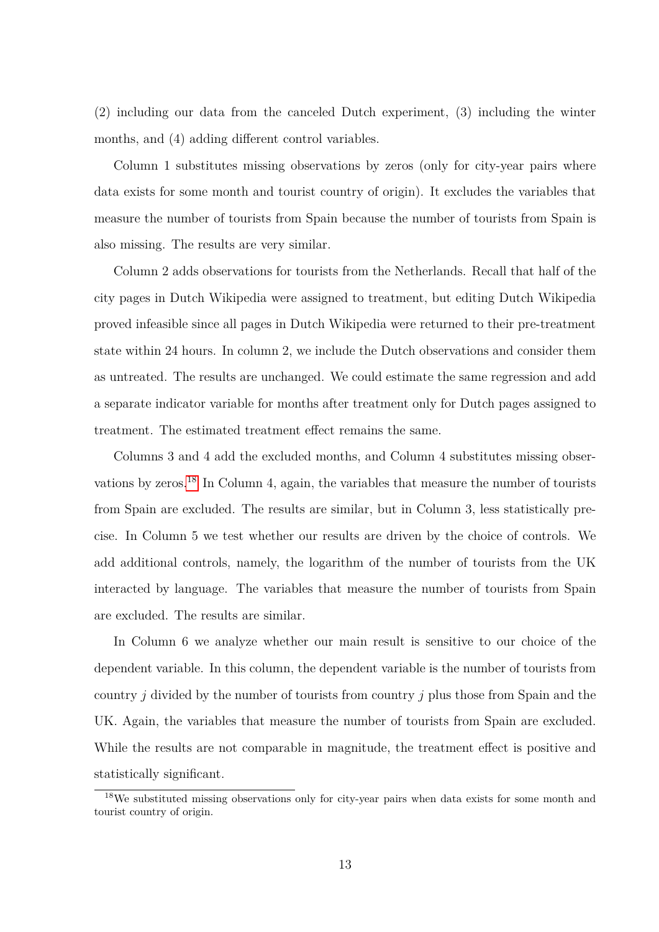(2) including our data from the canceled Dutch experiment, (3) including the winter months, and (4) adding different control variables.

Column 1 substitutes missing observations by zeros (only for city-year pairs where data exists for some month and tourist country of origin). It excludes the variables that measure the number of tourists from Spain because the number of tourists from Spain is also missing. The results are very similar.

Column 2 adds observations for tourists from the Netherlands. Recall that half of the city pages in Dutch Wikipedia were assigned to treatment, but editing Dutch Wikipedia proved infeasible since all pages in Dutch Wikipedia were returned to their pre-treatment state within 24 hours. In column 2, we include the Dutch observations and consider them as untreated. The results are unchanged. We could estimate the same regression and add a separate indicator variable for months after treatment only for Dutch pages assigned to treatment. The estimated treatment effect remains the same.

Columns 3 and 4 add the excluded months, and Column 4 substitutes missing obser-vations by zeros.<sup>[18](#page-12-0)</sup> In Column 4, again, the variables that measure the number of tourists from Spain are excluded. The results are similar, but in Column 3, less statistically precise. In Column 5 we test whether our results are driven by the choice of controls. We add additional controls, namely, the logarithm of the number of tourists from the UK interacted by language. The variables that measure the number of tourists from Spain are excluded. The results are similar.

In Column 6 we analyze whether our main result is sensitive to our choice of the dependent variable. In this column, the dependent variable is the number of tourists from country *j* divided by the number of tourists from country *j* plus those from Spain and the UK. Again, the variables that measure the number of tourists from Spain are excluded. While the results are not comparable in magnitude, the treatment effect is positive and statistically significant.

<span id="page-12-0"></span><sup>&</sup>lt;sup>18</sup>We substituted missing observations only for city-year pairs when data exists for some month and tourist country of origin.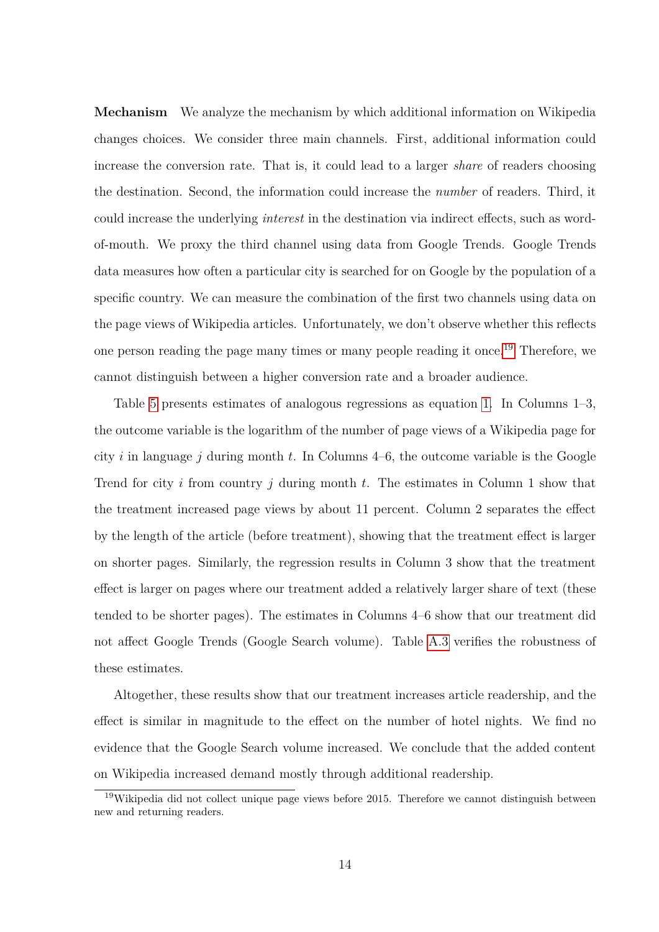**Mechanism** We analyze the mechanism by which additional information on Wikipedia changes choices. We consider three main channels. First, additional information could increase the conversion rate. That is, it could lead to a larger *share* of readers choosing the destination. Second, the information could increase the *number* of readers. Third, it could increase the underlying *interest* in the destination via indirect effects, such as wordof-mouth. We proxy the third channel using data from Google Trends. Google Trends data measures how often a particular city is searched for on Google by the population of a specific country. We can measure the combination of the first two channels using data on the page views of Wikipedia articles. Unfortunately, we don't observe whether this reflects one person reading the page many times or many people reading it once.<sup>[19](#page-13-0)</sup> Therefore, we cannot distinguish between a higher conversion rate and a broader audience.

Table [5](#page-27-0) presents estimates of analogous regressions as equation [1.](#page-10-0) In Columns 1–3, the outcome variable is the logarithm of the number of page views of a Wikipedia page for city *i* in language *j* during month *t*. In Columns 4–6, the outcome variable is the Google Trend for city *i* from country *j* during month *t*. The estimates in Column 1 show that the treatment increased page views by about 11 percent. Column 2 separates the effect by the length of the article (before treatment), showing that the treatment effect is larger on shorter pages. Similarly, the regression results in Column 3 show that the treatment effect is larger on pages where our treatment added a relatively larger share of text (these tended to be shorter pages). The estimates in Columns 4–6 show that our treatment did not affect Google Trends (Google Search volume). Table [A.3](#page-29-0) verifies the robustness of these estimates.

Altogether, these results show that our treatment increases article readership, and the effect is similar in magnitude to the effect on the number of hotel nights. We find no evidence that the Google Search volume increased. We conclude that the added content on Wikipedia increased demand mostly through additional readership.

<span id="page-13-0"></span><sup>&</sup>lt;sup>19</sup>Wikipedia did not collect unique page views before 2015. Therefore we cannot distinguish between new and returning readers.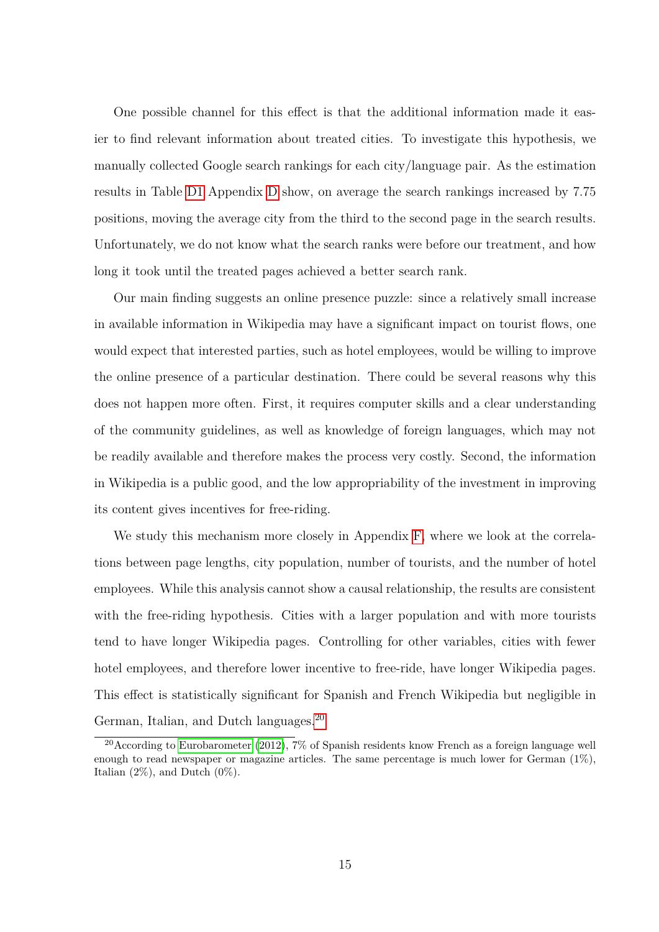One possible channel for this effect is that the additional information made it easier to find relevant information about treated cities. To investigate this hypothesis, we manually collected Google search rankings for each city/language pair. As the estimation results in Table [D1](#page-40-0) Appendix [D](#page-40-1) show, on average the search rankings increased by 7.75 positions, moving the average city from the third to the second page in the search results. Unfortunately, we do not know what the search ranks were before our treatment, and how long it took until the treated pages achieved a better search rank.

Our main finding suggests an online presence puzzle: since a relatively small increase in available information in Wikipedia may have a significant impact on tourist flows, one would expect that interested parties, such as hotel employees, would be willing to improve the online presence of a particular destination. There could be several reasons why this does not happen more often. First, it requires computer skills and a clear understanding of the community guidelines, as well as knowledge of foreign languages, which may not be readily available and therefore makes the process very costly. Second, the information in Wikipedia is a public good, and the low appropriability of the investment in improving its content gives incentives for free-riding.

We study this mechanism more closely in Appendix [F,](#page-44-0) where we look at the correlations between page lengths, city population, number of tourists, and the number of hotel employees. While this analysis cannot show a causal relationship, the results are consistent with the free-riding hypothesis. Cities with a larger population and with more tourists tend to have longer Wikipedia pages. Controlling for other variables, cities with fewer hotel employees, and therefore lower incentive to free-ride, have longer Wikipedia pages. This effect is statistically significant for Spanish and French Wikipedia but negligible in German, Italian, and Dutch languages.<sup>[20](#page-14-0)</sup>

<span id="page-14-0"></span><sup>&</sup>lt;sup>20</sup> According to [Eurobarometer](#page-20-9) [\(2012\)](#page-20-9), 7% of Spanish residents know French as a foreign language well enough to read newspaper or magazine articles. The same percentage is much lower for German  $(1\%)$ , Italian  $(2\%)$ , and Dutch  $(0\%)$ .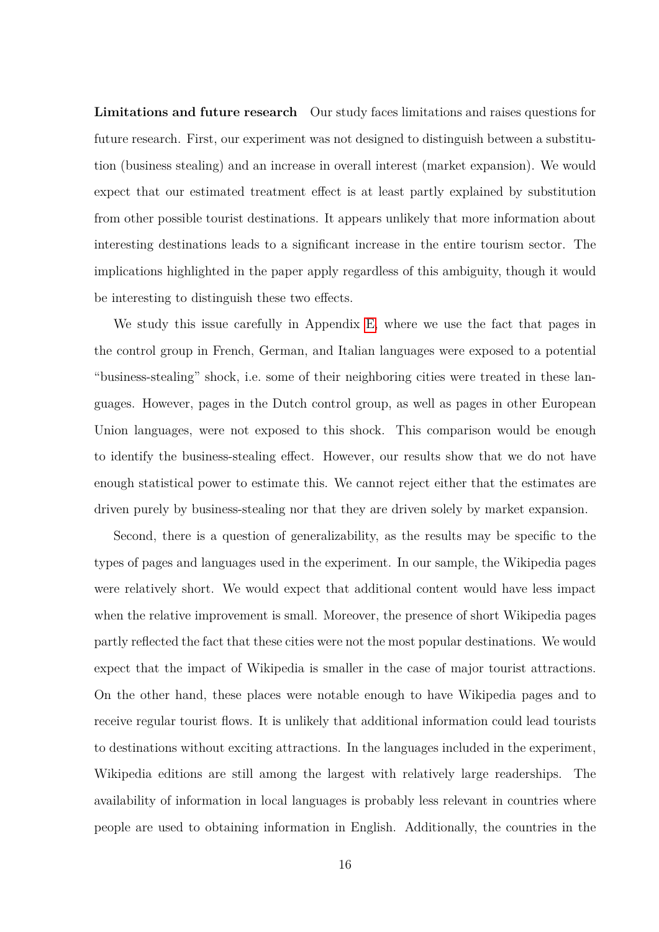**Limitations and future research** Our study faces limitations and raises questions for future research. First, our experiment was not designed to distinguish between a substitution (business stealing) and an increase in overall interest (market expansion). We would expect that our estimated treatment effect is at least partly explained by substitution from other possible tourist destinations. It appears unlikely that more information about interesting destinations leads to a significant increase in the entire tourism sector. The implications highlighted in the paper apply regardless of this ambiguity, though it would be interesting to distinguish these two effects.

We study this issue carefully in Appendix [E,](#page-41-0) where we use the fact that pages in the control group in French, German, and Italian languages were exposed to a potential "business-stealing" shock, i.e. some of their neighboring cities were treated in these languages. However, pages in the Dutch control group, as well as pages in other European Union languages, were not exposed to this shock. This comparison would be enough to identify the business-stealing effect. However, our results show that we do not have enough statistical power to estimate this. We cannot reject either that the estimates are driven purely by business-stealing nor that they are driven solely by market expansion.

Second, there is a question of generalizability, as the results may be specific to the types of pages and languages used in the experiment. In our sample, the Wikipedia pages were relatively short. We would expect that additional content would have less impact when the relative improvement is small. Moreover, the presence of short Wikipedia pages partly reflected the fact that these cities were not the most popular destinations. We would expect that the impact of Wikipedia is smaller in the case of major tourist attractions. On the other hand, these places were notable enough to have Wikipedia pages and to receive regular tourist flows. It is unlikely that additional information could lead tourists to destinations without exciting attractions. In the languages included in the experiment, Wikipedia editions are still among the largest with relatively large readerships. The availability of information in local languages is probably less relevant in countries where people are used to obtaining information in English. Additionally, the countries in the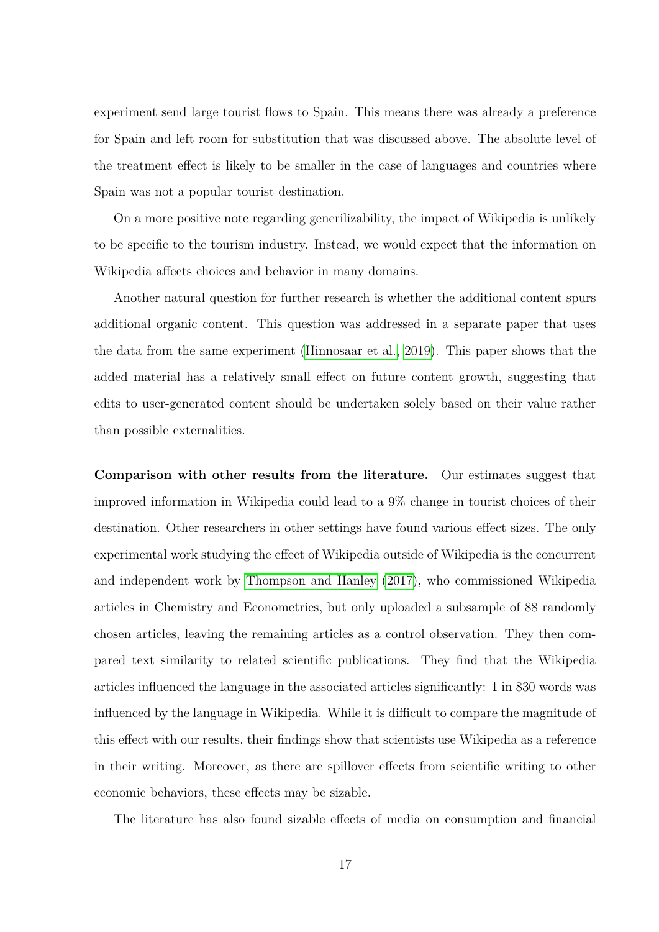experiment send large tourist flows to Spain. This means there was already a preference for Spain and left room for substitution that was discussed above. The absolute level of the treatment effect is likely to be smaller in the case of languages and countries where Spain was not a popular tourist destination.

On a more positive note regarding generilizability, the impact of Wikipedia is unlikely to be specific to the tourism industry. Instead, we would expect that the information on Wikipedia affects choices and behavior in many domains.

Another natural question for further research is whether the additional content spurs additional organic content. This question was addressed in a separate paper that uses the data from the same experiment [\(Hinnosaar et al., 2019\)](#page-21-9). This paper shows that the added material has a relatively small effect on future content growth, suggesting that edits to user-generated content should be undertaken solely based on their value rather than possible externalities.

**Comparison with other results from the literature.** Our estimates suggest that improved information in Wikipedia could lead to a 9% change in tourist choices of their destination. Other researchers in other settings have found various effect sizes. The only experimental work studying the effect of Wikipedia outside of Wikipedia is the concurrent and independent work by [Thompson and Hanley](#page-22-5) [\(2017\)](#page-22-5), who commissioned Wikipedia articles in Chemistry and Econometrics, but only uploaded a subsample of 88 randomly chosen articles, leaving the remaining articles as a control observation. They then compared text similarity to related scientific publications. They find that the Wikipedia articles influenced the language in the associated articles significantly: 1 in 830 words was influenced by the language in Wikipedia. While it is difficult to compare the magnitude of this effect with our results, their findings show that scientists use Wikipedia as a reference in their writing. Moreover, as there are spillover effects from scientific writing to other economic behaviors, these effects may be sizable.

The literature has also found sizable effects of media on consumption and financial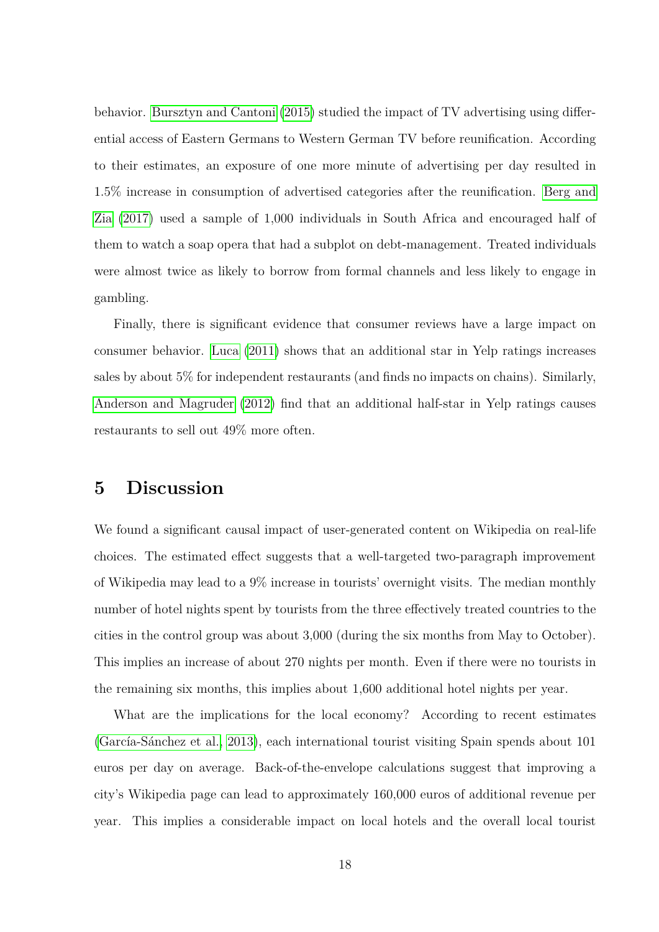behavior. [Bursztyn and Cantoni](#page-19-3) [\(2015\)](#page-19-3) studied the impact of TV advertising using differential access of Eastern Germans to Western German TV before reunification. According to their estimates, an exposure of one more minute of advertising per day resulted in 1.5% increase in consumption of advertised categories after the reunification. [Berg and](#page-19-8) [Zia](#page-19-8) [\(2017\)](#page-19-8) used a sample of 1,000 individuals in South Africa and encouraged half of them to watch a soap opera that had a subplot on debt-management. Treated individuals were almost twice as likely to borrow from formal channels and less likely to engage in gambling.

Finally, there is significant evidence that consumer reviews have a large impact on consumer behavior. [Luca](#page-21-6) [\(2011\)](#page-21-6) shows that an additional star in Yelp ratings increases sales by about 5% for independent restaurants (and finds no impacts on chains). Similarly, [Anderson and Magruder](#page-19-9) [\(2012\)](#page-19-9) find that an additional half-star in Yelp ratings causes restaurants to sell out 49% more often.

#### **5 Discussion**

We found a significant causal impact of user-generated content on Wikipedia on real-life choices. The estimated effect suggests that a well-targeted two-paragraph improvement of Wikipedia may lead to a 9% increase in tourists' overnight visits. The median monthly number of hotel nights spent by tourists from the three effectively treated countries to the cities in the control group was about 3,000 (during the six months from May to October). This implies an increase of about 270 nights per month. Even if there were no tourists in the remaining six months, this implies about 1,600 additional hotel nights per year.

What are the implications for the local economy? According to recent estimates [\(García-Sánchez et al., 2013\)](#page-20-0), each international tourist visiting Spain spends about 101 euros per day on average. Back-of-the-envelope calculations suggest that improving a city's Wikipedia page can lead to approximately 160,000 euros of additional revenue per year. This implies a considerable impact on local hotels and the overall local tourist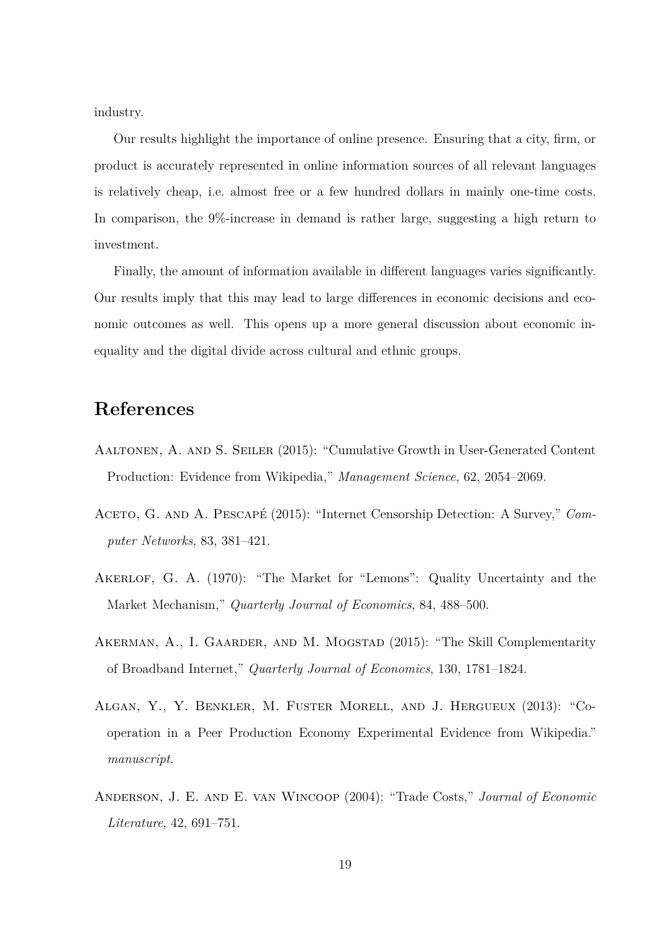industry.

Our results highlight the importance of online presence. Ensuring that a city, firm, or product is accurately represented in online information sources of all relevant languages is relatively cheap, i.e. almost free or a few hundred dollars in mainly one-time costs. In comparison, the 9%-increase in demand is rather large, suggesting a high return to investment.

Finally, the amount of information available in different languages varies significantly. Our results imply that this may lead to large differences in economic decisions and economic outcomes as well. This opens up a more general discussion about economic inequality and the digital divide across cultural and ethnic groups.

# **References**

- <span id="page-18-5"></span>Aaltonen, A. and S. Seiler (2015): "Cumulative Growth in User-Generated Content Production: Evidence from Wikipedia," *Management Science*, 62, 2054–2069.
- <span id="page-18-1"></span>ACETO, G. AND A. PESCAPÉ (2015): "Internet Censorship Detection: A Survey," *Computer Networks*, 83, 381–421.
- <span id="page-18-0"></span>AKERLOF, G. A. (1970): "The Market for "Lemons": Quality Uncertainty and the Market Mechanism," *Quarterly Journal of Economics*, 84, 488–500.
- <span id="page-18-4"></span>AKERMAN, A., I. GAARDER, AND M. MOGSTAD (2015): "The Skill Complementarity of Broadband Internet," *Quarterly Journal of Economics*, 130, 1781–1824.
- <span id="page-18-3"></span>Algan, Y., Y. Benkler, M. Fuster Morell, and J. Hergueux (2013): "Cooperation in a Peer Production Economy Experimental Evidence from Wikipedia." *manuscript*.
- <span id="page-18-2"></span>Anderson, J. E. and E. van Wincoop (2004): "Trade Costs," *Journal of Economic Literature*, 42, 691–751.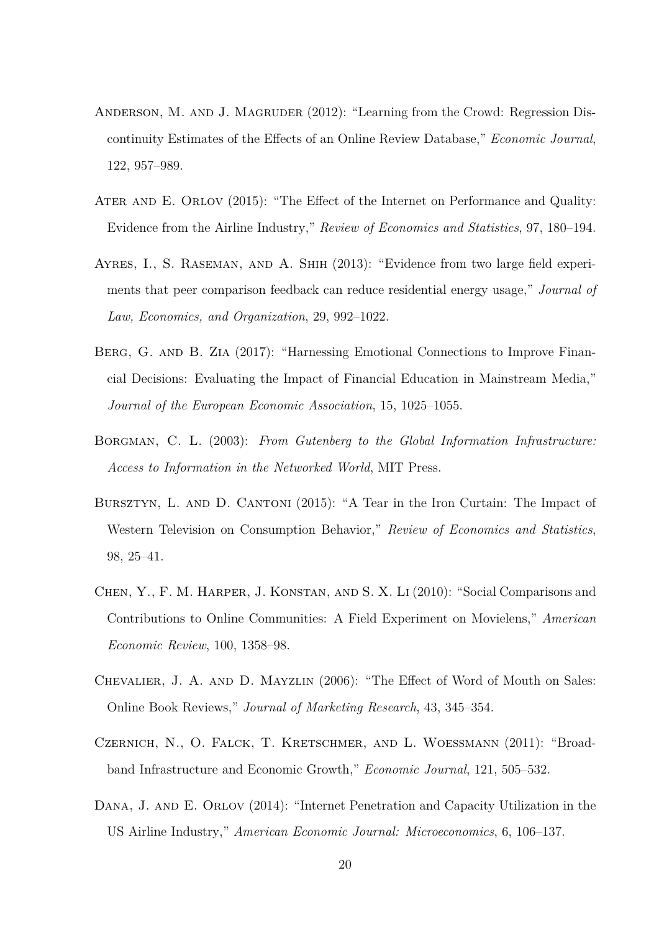- <span id="page-19-9"></span>ANDERSON, M. AND J. MAGRUDER (2012): "Learning from the Crowd: Regression Discontinuity Estimates of the Effects of an Online Review Database," *Economic Journal*, 122, 957–989.
- <span id="page-19-7"></span>Ater and E. Orlov (2015): "The Effect of the Internet on Performance and Quality: Evidence from the Airline Industry," *Review of Economics and Statistics*, 97, 180–194.
- <span id="page-19-1"></span>Ayres, I., S. Raseman, and A. Shih (2013): "Evidence from two large field experiments that peer comparison feedback can reduce residential energy usage," *Journal of Law, Economics, and Organization*, 29, 992–1022.
- <span id="page-19-8"></span>BERG, G. AND B. ZIA (2017): "Harnessing Emotional Connections to Improve Financial Decisions: Evaluating the Impact of Financial Education in Mainstream Media," *Journal of the European Economic Association*, 15, 1025–1055.
- <span id="page-19-0"></span>Borgman, C. L. (2003): *From Gutenberg to the Global Information Infrastructure: Access to Information in the Networked World*, MIT Press.
- <span id="page-19-3"></span>BURSZTYN, L. AND D. CANTONI (2015): "A Tear in the Iron Curtain: The Impact of Western Television on Consumption Behavior," *Review of Economics and Statistics*, 98, 25–41.
- <span id="page-19-2"></span>Chen, Y., F. M. Harper, J. Konstan, and S. X. Li (2010): "Social Comparisons and Contributions to Online Communities: A Field Experiment on Movielens," *American Economic Review*, 100, 1358–98.
- <span id="page-19-4"></span>Chevalier, J. A. and D. Mayzlin (2006): "The Effect of Word of Mouth on Sales: Online Book Reviews," *Journal of Marketing Research*, 43, 345–354.
- <span id="page-19-5"></span>Czernich, N., O. Falck, T. Kretschmer, and L. Woessmann (2011): "Broadband Infrastructure and Economic Growth," *Economic Journal*, 121, 505–532.
- <span id="page-19-6"></span>DANA, J. AND E. ORLOV (2014): "Internet Penetration and Capacity Utilization in the US Airline Industry," *American Economic Journal: Microeconomics*, 6, 106–137.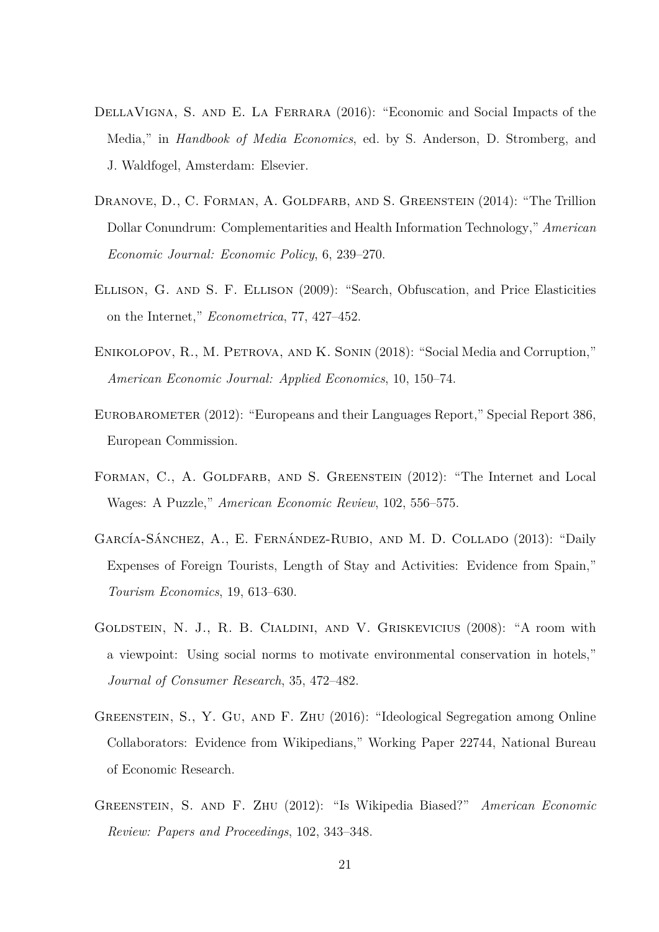- <span id="page-20-2"></span>DellaVigna, S. and E. La Ferrara (2016): "Economic and Social Impacts of the Media," in *Handbook of Media Economics*, ed. by S. Anderson, D. Stromberg, and J. Waldfogel, Amsterdam: Elsevier.
- <span id="page-20-5"></span>DRANOVE, D., C. FORMAN, A. GOLDFARB, AND S. GREENSTEIN (2014): "The Trillion Dollar Conundrum: Complementarities and Health Information Technology," *American Economic Journal: Economic Policy*, 6, 239–270.
- <span id="page-20-6"></span>Ellison, G. and S. F. Ellison (2009): "Search, Obfuscation, and Price Elasticities on the Internet," *Econometrica*, 77, 427–452.
- <span id="page-20-3"></span>Enikolopov, R., M. Petrova, and K. Sonin (2018): "Social Media and Corruption," *American Economic Journal: Applied Economics*, 10, 150–74.
- <span id="page-20-9"></span>Eurobarometer (2012): "Europeans and their Languages Report," Special Report 386, European Commission.
- <span id="page-20-4"></span>FORMAN, C., A. GOLDFARB, AND S. GREENSTEIN (2012): "The Internet and Local Wages: A Puzzle," *American Economic Review*, 102, 556–575.
- <span id="page-20-0"></span>García-Sánchez, A., E. Fernández-Rubio, and M. D. Collado (2013): "Daily Expenses of Foreign Tourists, Length of Stay and Activities: Evidence from Spain," *Tourism Economics*, 19, 613–630.
- <span id="page-20-1"></span>Goldstein, N. J., R. B. Cialdini, and V. Griskevicius (2008): "A room with a viewpoint: Using social norms to motivate environmental conservation in hotels," *Journal of Consumer Research*, 35, 472–482.
- <span id="page-20-8"></span>Greenstein, S., Y. Gu, and F. Zhu (2016): "Ideological Segregation among Online Collaborators: Evidence from Wikipedians," Working Paper 22744, National Bureau of Economic Research.
- <span id="page-20-7"></span>Greenstein, S. and F. Zhu (2012): "Is Wikipedia Biased?" *American Economic Review: Papers and Proceedings*, 102, 343–348.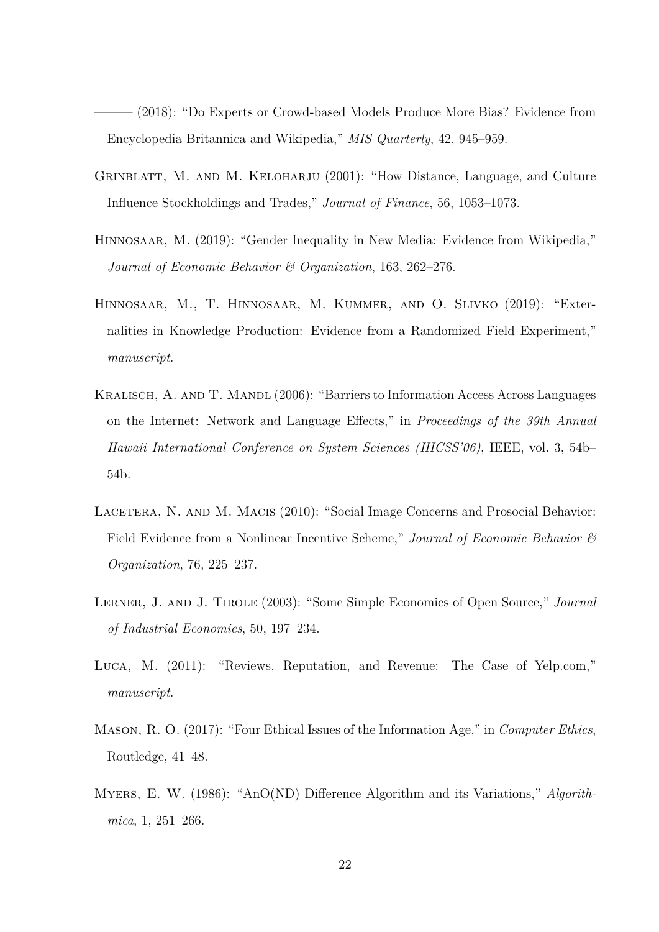<span id="page-21-7"></span>– (2018): "Do Experts or Crowd-based Models Produce More Bias? Evidence from Encyclopedia Britannica and Wikipedia," *MIS Quarterly*, 42, 945–959.

- <span id="page-21-2"></span>GRINBLATT, M. AND M. KELOHARJU (2001): "How Distance, Language, and Culture Influence Stockholdings and Trades," *Journal of Finance*, 56, 1053–1073.
- <span id="page-21-8"></span>HINNOSAAR, M. (2019): "Gender Inequality in New Media: Evidence from Wikipedia," *Journal of Economic Behavior & Organization*, 163, 262–276.
- <span id="page-21-9"></span>Hinnosaar, M., T. Hinnosaar, M. Kummer, and O. Slivko (2019): "Externalities in Knowledge Production: Evidence from a Randomized Field Experiment," *manuscript*.
- <span id="page-21-0"></span>KRALISCH, A. AND T. MANDL (2006): "Barriers to Information Access Across Languages on the Internet: Network and Language Effects," in *Proceedings of the 39th Annual Hawaii International Conference on System Sciences (HICSS'06)*, IEEE, vol. 3, 54b– 54b.
- <span id="page-21-4"></span>LACETERA, N. AND M. MACIS (2010): "Social Image Concerns and Prosocial Behavior: Field Evidence from a Nonlinear Incentive Scheme," *Journal of Economic Behavior & Organization*, 76, 225–237.
- <span id="page-21-3"></span>Lerner, J. and J. Tirole (2003): "Some Simple Economics of Open Source," *Journal of Industrial Economics*, 50, 197–234.
- <span id="page-21-6"></span>Luca, M. (2011): "Reviews, Reputation, and Revenue: The Case of Yelp.com," *manuscript*.
- <span id="page-21-1"></span>Mason, R. O. (2017): "Four Ethical Issues of the Information Age," in *Computer Ethics*, Routledge, 41–48.
- <span id="page-21-5"></span>Myers, E. W. (1986): "AnO(ND) Difference Algorithm and its Variations," *Algorithmica*, 1, 251–266.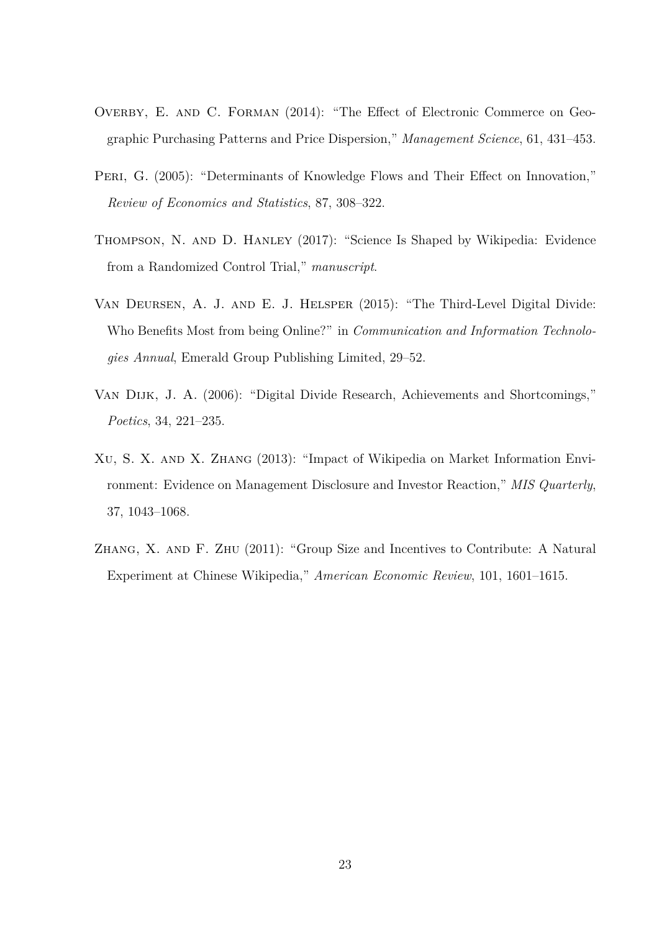- <span id="page-22-6"></span>OVERBY, E. AND C. FORMAN (2014): "The Effect of Electronic Commerce on Geographic Purchasing Patterns and Price Dispersion," *Management Science*, 61, 431–453.
- <span id="page-22-2"></span>PERI, G. (2005): "Determinants of Knowledge Flows and Their Effect on Innovation," *Review of Economics and Statistics*, 87, 308–322.
- <span id="page-22-5"></span>Thompson, N. and D. Hanley (2017): "Science Is Shaped by Wikipedia: Evidence from a Randomized Control Trial," *manuscript*.
- <span id="page-22-1"></span>Van Deursen, A. J. and E. J. Helsper (2015): "The Third-Level Digital Divide: Who Benefits Most from being Online?" in *Communication and Information Technologies Annual*, Emerald Group Publishing Limited, 29–52.
- <span id="page-22-0"></span>Van Dijk, J. A. (2006): "Digital Divide Research, Achievements and Shortcomings," *Poetics*, 34, 221–235.
- <span id="page-22-4"></span>Xu, S. X. and X. Zhang (2013): "Impact of Wikipedia on Market Information Environment: Evidence on Management Disclosure and Investor Reaction," *MIS Quarterly*, 37, 1043–1068.
- <span id="page-22-3"></span>Zhang, X. and F. Zhu (2011): "Group Size and Incentives to Contribute: A Natural Experiment at Chinese Wikipedia," *American Economic Review*, 101, 1601–1615.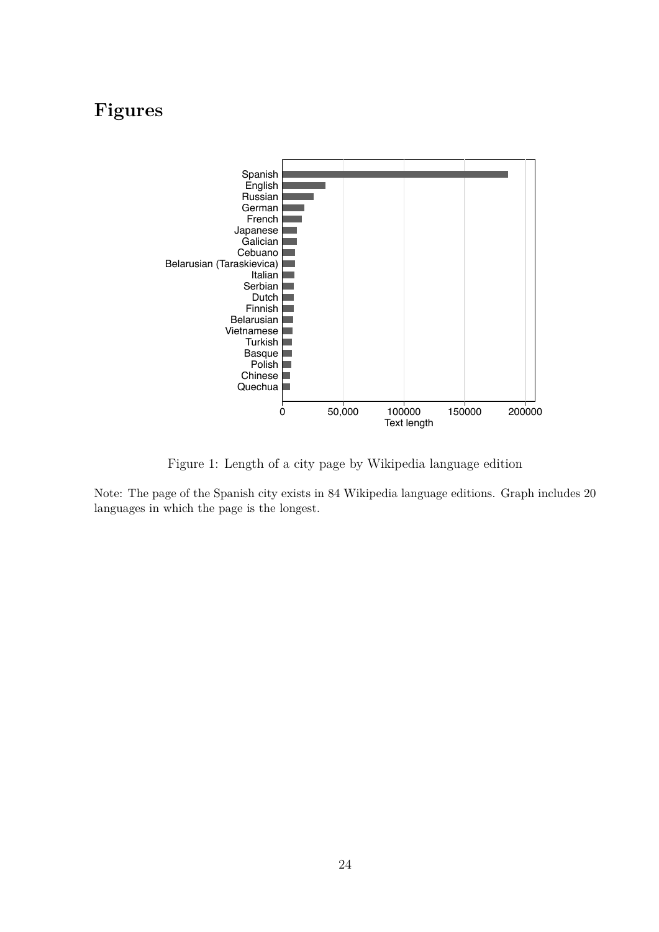# **Figures**



<span id="page-23-0"></span>Figure 1: Length of a city page by Wikipedia language edition

Note: The page of the Spanish city exists in 84 Wikipedia language editions. Graph includes 20 languages in which the page is the longest.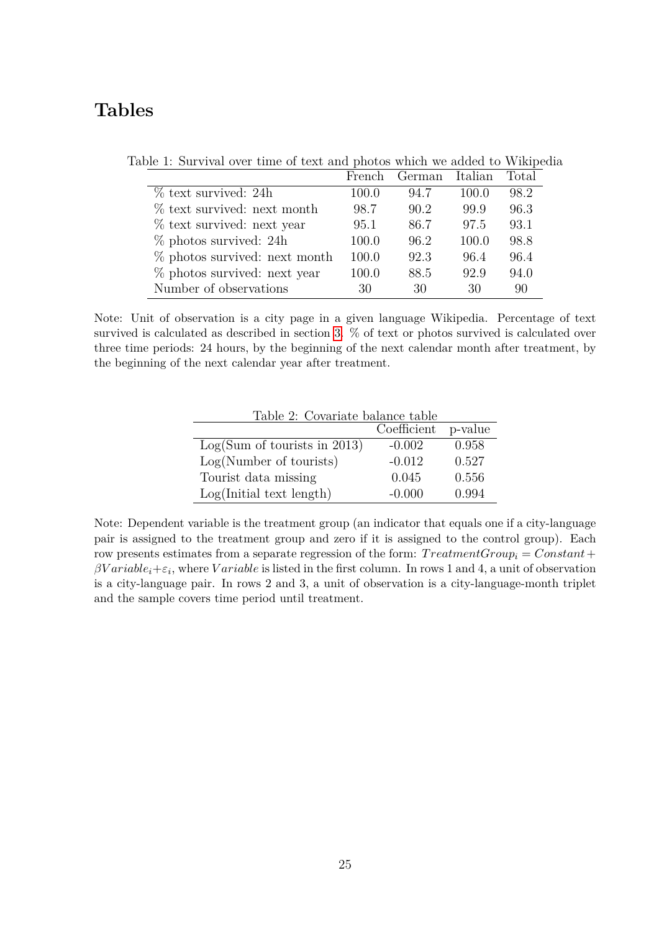# **Tables**

<span id="page-24-0"></span>

|                                 | French | German | Italian | Total |
|---------------------------------|--------|--------|---------|-------|
| $\%$ text survived: 24h         | 100.0  | 94.7   | 100.0   | 98.2  |
| $\%$ text survived: next month  | 98.7   | 90.2   | 99.9    | 96.3  |
| % text survived: next year      | 95.1   | 86.7   | 97.5    | 93.1  |
| $\%$ photos survived: 24h       | 100.0  | 96.2   | 100.0   | 98.8  |
| $%$ photos survived: next month | 100.0  | 92.3   | 96.4    | 96.4  |
| % photos survived: next year    | 100.0  | 88.5   | 92.9    | 94.0  |
| Number of observations          | 30     | 30     | 30      | 90    |

Table 1: Survival over time of text and photos which we added to Wikipedia

Note: Unit of observation is a city page in a given language Wikipedia. Percentage of text survived is calculated as described in section [3.](#page-7-3) % of text or photos survived is calculated over three time periods: 24 hours, by the beginning of the next calendar month after treatment, by the beginning of the next calendar year after treatment.

<span id="page-24-1"></span>

| Table 2: Covariate balance table |                     |       |  |  |  |  |
|----------------------------------|---------------------|-------|--|--|--|--|
|                                  | Coefficient p-value |       |  |  |  |  |
| Log(Sum of tourist in 2013)      | $-0.002$            | 0.958 |  |  |  |  |
| Log(Number of tourist)           | $-0.012$            | 0.527 |  |  |  |  |
| Tourist data missing             | 0.045               | 0.556 |  |  |  |  |
| Log(Initial text length)         | $-0.000$            | 0.994 |  |  |  |  |

Note: Dependent variable is the treatment group (an indicator that equals one if a city-language pair is assigned to the treatment group and zero if it is assigned to the control group). Each row presents estimates from a separate regression of the form: *T reatmentGroup<sup>i</sup>* = *Constant*+  $\beta Variable_i + \varepsilon_i$ , where *V ariable* is listed in the first column. In rows 1 and 4, a unit of observation is a city-language pair. In rows 2 and 3, a unit of observation is a city-language-month triplet and the sample covers time period until treatment.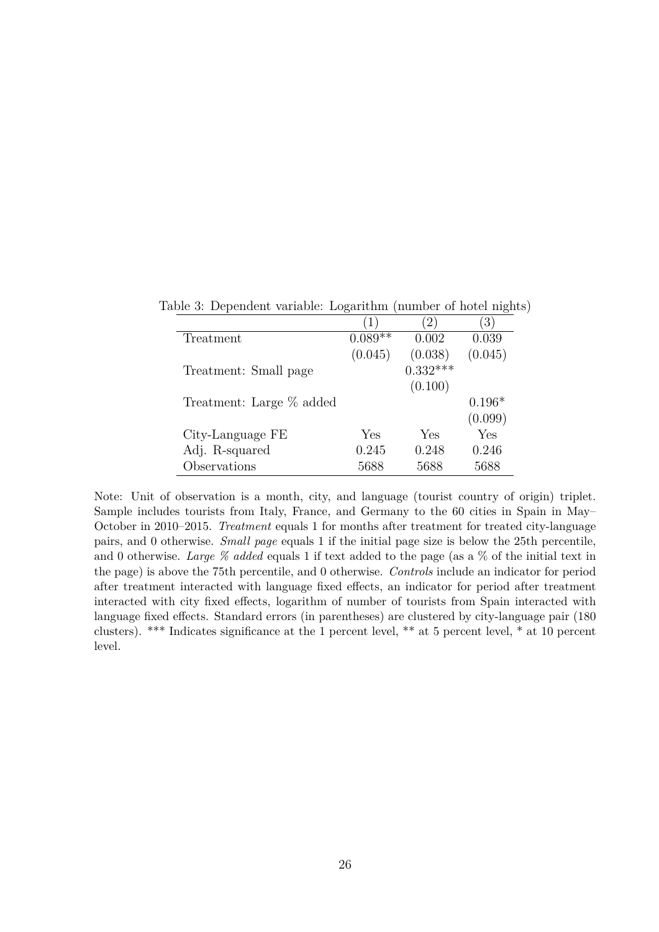<span id="page-25-0"></span>

|                          | $\perp$   |            | $3^{\circ}$ |
|--------------------------|-----------|------------|-------------|
| Treatment                | $0.089**$ | 0.002      | 0.039       |
|                          | (0.045)   | (0.038)    | (0.045)     |
| Treatment: Small page    |           | $0.332***$ |             |
|                          |           | (0.100)    |             |
| Treatment: Large % added |           |            | $0.196*$    |
|                          |           |            | (0.099)     |
| City-Language FE         | Yes       | Yes        | Yes         |
| Adj. R-squared           | 0.245     | 0.248      | 0.246       |
| Observations             | 5688      | 5688       | 5688        |

Table 3: Dependent variable: Logarithm (number of hotel nights)

Note: Unit of observation is a month, city, and language (tourist country of origin) triplet. Sample includes tourists from Italy, France, and Germany to the 60 cities in Spain in May– October in 2010–2015. *Treatment* equals 1 for months after treatment for treated city-language pairs, and 0 otherwise. *Small page* equals 1 if the initial page size is below the 25th percentile, and 0 otherwise. *Large % added* equals 1 if text added to the page (as a % of the initial text in the page) is above the 75th percentile, and 0 otherwise. *Controls* include an indicator for period after treatment interacted with language fixed effects, an indicator for period after treatment interacted with city fixed effects, logarithm of number of tourists from Spain interacted with language fixed effects. Standard errors (in parentheses) are clustered by city-language pair (180 clusters). \*\*\* Indicates significance at the 1 percent level, \*\* at 5 percent level, \* at 10 percent level.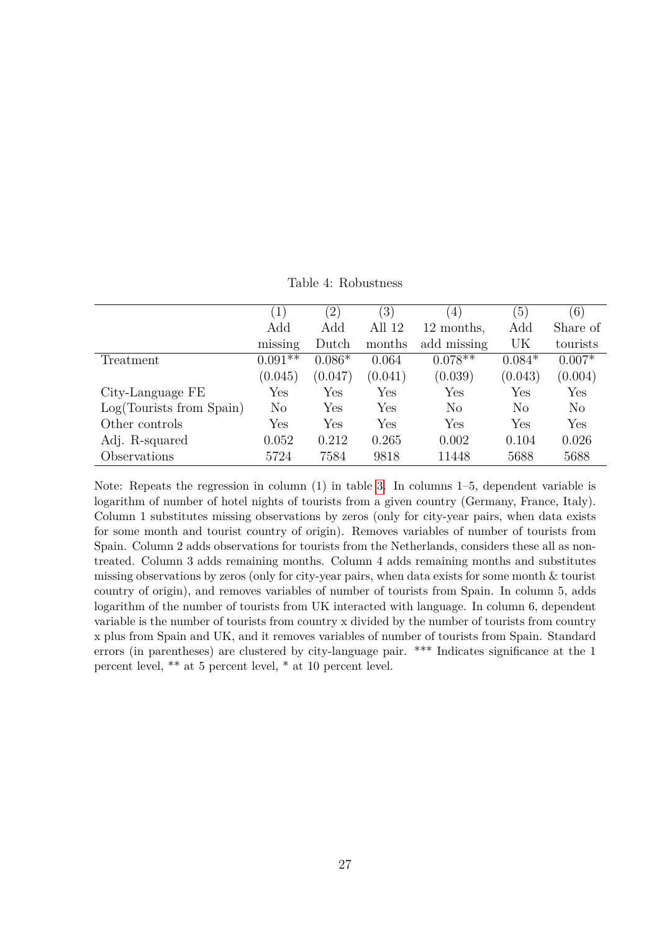<span id="page-26-0"></span>Table 4: Robustness

|                          | $\left(1\right)$     | $\left( 2\right)$ | $\left(3\right)$ | $\left(4\right)$ | $\left(5\right)$ | (6)      |
|--------------------------|----------------------|-------------------|------------------|------------------|------------------|----------|
|                          | Add                  | Add               | All 12           | 12 months,       | Add              | Share of |
|                          | missing              | Dutch             | months           | add missing      | UK               | tourists |
| Treatment                | $0.091**$            | $0.086*$          | 0.064            | $0.078**$        | $0.084*$         | $0.007*$ |
|                          | (0.045)              | (0.047)           | (0.041)          | (0.039)          | (0.043)          | (0.004)  |
| City-Language FE         | $\operatorname{Yes}$ | Yes               | Yes              | Yes              | Yes              | Yes      |
| Log(Tourists from Spain) | N <sub>o</sub>       | Yes               | Yes              | $\rm No$         | No               | $\rm No$ |
| Other controls           | Yes                  | Yes               | Yes              | Yes              | Yes              | Yes      |
| Adj. R-squared           | 0.052                | 0.212             | 0.265            | 0.002            | 0.104            | 0.026    |
| Observations             | 5724                 | 7584              | 9818             | 11448            | 5688             | 5688     |

Note: Repeats the regression in column (1) in table [3.](#page-25-0) In columns 1–5, dependent variable is logarithm of number of hotel nights of tourists from a given country (Germany, France, Italy). Column 1 substitutes missing observations by zeros (only for city-year pairs, when data exists for some month and tourist country of origin). Removes variables of number of tourists from Spain. Column 2 adds observations for tourists from the Netherlands, considers these all as nontreated. Column 3 adds remaining months. Column 4 adds remaining months and substitutes missing observations by zeros (only for city-year pairs, when data exists for some month & tourist country of origin), and removes variables of number of tourists from Spain. In column 5, adds logarithm of the number of tourists from UK interacted with language. In column 6, dependent variable is the number of tourists from country x divided by the number of tourists from country x plus from Spain and UK, and it removes variables of number of tourists from Spain. Standard errors (in parentheses) are clustered by city-language pair. \*\*\* Indicates significance at the 1 percent level, \*\* at 5 percent level, \* at 10 percent level.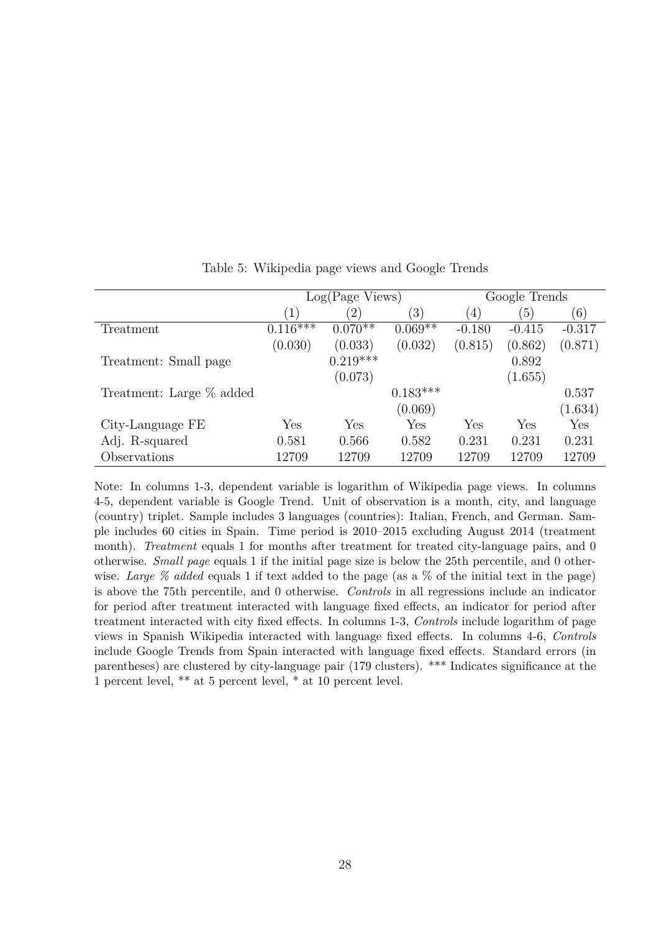|                          | $Log(Page \nViews)$ |                   |             | Google Trends     |                  |          |  |
|--------------------------|---------------------|-------------------|-------------|-------------------|------------------|----------|--|
|                          | (1)                 | $\left( 2\right)$ | (3)         | $\left( 4\right)$ | $\left(5\right)$ | (6)      |  |
| Treatment                | $0.116$ ***         | $0.070**$         | $0.069**$   | $-0.180$          | $-0.415$         | $-0.317$ |  |
|                          | (0.030)             | (0.033)           | (0.032)     | (0.815)           | (0.862)          | (0.871)  |  |
| Treatment: Small page    |                     | $0.219***$        |             |                   | 0.892            |          |  |
|                          |                     | (0.073)           |             |                   | (1.655)          |          |  |
| Treatment: Large % added |                     |                   | $0.183***$  |                   |                  | 0.537    |  |
|                          |                     |                   | (0.069)     |                   |                  | (1.634)  |  |
| City-Language FE         | Yes                 | Yes               | ${\rm Yes}$ | Yes               | Yes              | Yes      |  |
| Adj. R-squared           | 0.581               | 0.566             | 0.582       | 0.231             | 0.231            | 0.231    |  |
| Observations             | 12709               | 12709             | 12709       | 12709             | 12709            | 12709    |  |

<span id="page-27-0"></span>Table 5: Wikipedia page views and Google Trends

Note: In columns 1-3, dependent variable is logarithm of Wikipedia page views. In columns 4-5, dependent variable is Google Trend. Unit of observation is a month, city, and language (country) triplet. Sample includes 3 languages (countries): Italian, French, and German. Sample includes 60 cities in Spain. Time period is 2010–2015 excluding August 2014 (treatment month). *Treatment* equals 1 for months after treatment for treated city-language pairs, and 0 otherwise. *Small page* equals 1 if the initial page size is below the 25th percentile, and 0 otherwise. *Large % added* equals 1 if text added to the page (as a % of the initial text in the page) is above the 75th percentile, and 0 otherwise. *Controls* in all regressions include an indicator for period after treatment interacted with language fixed effects, an indicator for period after treatment interacted with city fixed effects. In columns 1-3, *Controls* include logarithm of page views in Spanish Wikipedia interacted with language fixed effects. In columns 4-6, *Controls* include Google Trends from Spain interacted with language fixed effects. Standard errors (in parentheses) are clustered by city-language pair (179 clusters). \*\*\* Indicates significance at the 1 percent level, \*\* at 5 percent level, \* at 10 percent level.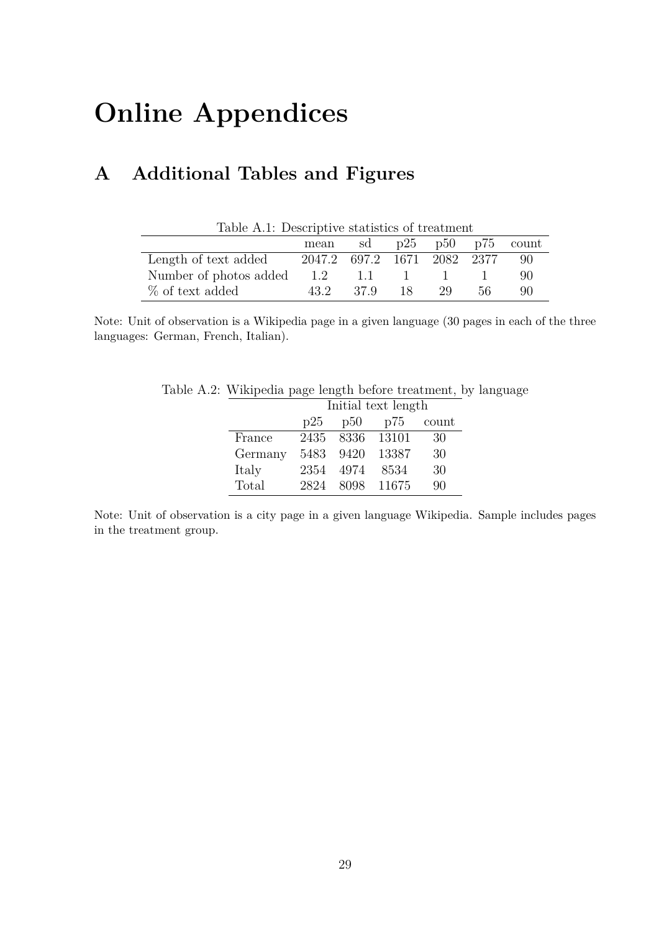# **Online Appendices**

# **A Additional Tables and Figures**

<span id="page-28-1"></span>

| Table A.1: Descriptive statistics of treatment |                             |      |               |    |     |       |
|------------------------------------------------|-----------------------------|------|---------------|----|-----|-------|
| p25<br>p50 p75<br>sd<br>mean                   |                             |      |               |    |     | count |
| Length of text added                           | 2047.2 697.2 1671 2082 2377 |      |               |    |     | 90    |
| Number of photos added                         | 1.2                         | 1.1  | and the state |    |     | 90    |
| % of text added                                | 43.2                        | 37.9 | 18.           | 29 | 56. | 90    |

Note: Unit of observation is a Wikipedia page in a given language (30 pages in each of the three languages: German, French, Italian).

<span id="page-28-0"></span>

| le A.2: Wikipedia page length before treatment, by langu |  |                 |                         |     |  |  |
|----------------------------------------------------------|--|-----------------|-------------------------|-----|--|--|
| Initial text length                                      |  |                 |                         |     |  |  |
|                                                          |  |                 | $p25$ $p50$ $p75$ count |     |  |  |
| France                                                   |  | 2435 8336 13101 |                         | -30 |  |  |
| Germany 5483 9420 13387                                  |  |                 |                         | 30  |  |  |
| Italy                                                    |  | 2354 4974 8534  |                         | 30  |  |  |

Table A.2: Wikipedia page length before treatment, by language

Note: Unit of observation is a city page in a given language Wikipedia. Sample includes pages in the treatment group.

Total 2824 8098 11675 90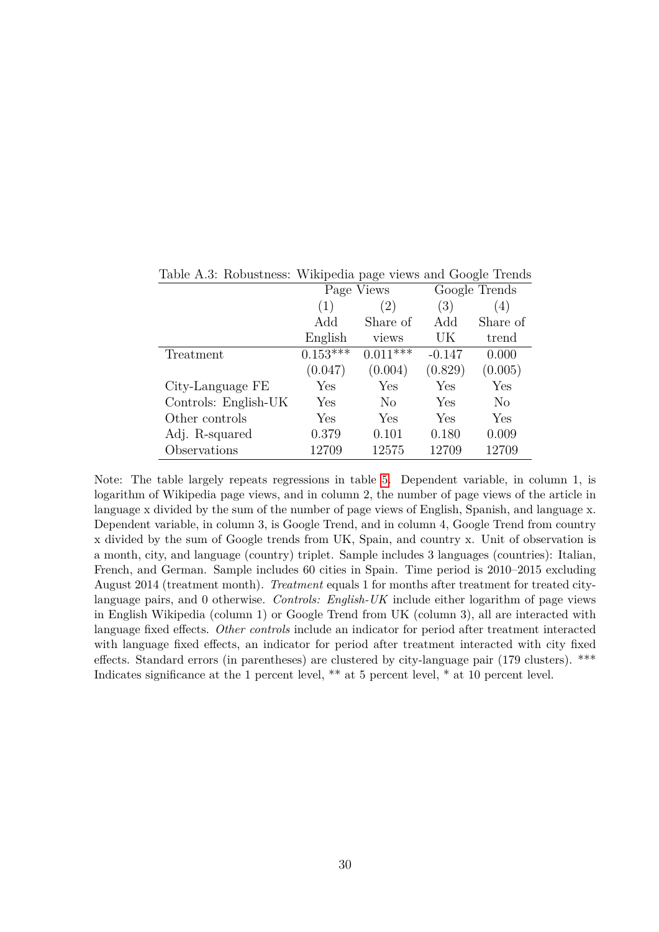|                      |            | Page Views     | Google Trends    |                |  |
|----------------------|------------|----------------|------------------|----------------|--|
|                      | (1)        | (2)            | $\left(3\right)$ | (4)            |  |
|                      | Add        | Share of       | Add              | Share of       |  |
|                      | English    | views          | UK               | trend          |  |
| Treatment            | $0.153***$ | $0.011$ ***    | $-0.147$         | 0.000          |  |
|                      | (0.047)    | (0.004)        | (0.829)          | (0.005)        |  |
| City-Language FE     | Yes        | Yes            | Yes              | Yes            |  |
| Controls: English-UK | Yes        | N <sub>o</sub> | Yes              | N <sub>o</sub> |  |
| Other controls       | Yes        | Yes            | Yes              | Yes            |  |
| Adj. R-squared       | 0.379      | 0.101          | 0.180            | 0.009          |  |
| Observations         | 12709      | 12575          | 12709            | 12709          |  |

<span id="page-29-0"></span>Table A.3: Robustness: Wikipedia page views and Google Trends

Note: The table largely repeats regressions in table [5.](#page-27-0) Dependent variable, in column 1, is logarithm of Wikipedia page views, and in column 2, the number of page views of the article in language x divided by the sum of the number of page views of English, Spanish, and language x. Dependent variable, in column 3, is Google Trend, and in column 4, Google Trend from country x divided by the sum of Google trends from UK, Spain, and country x. Unit of observation is a month, city, and language (country) triplet. Sample includes 3 languages (countries): Italian, French, and German. Sample includes 60 cities in Spain. Time period is 2010–2015 excluding August 2014 (treatment month). *Treatment* equals 1 for months after treatment for treated citylanguage pairs, and 0 otherwise. *Controls: English-UK* include either logarithm of page views in English Wikipedia (column 1) or Google Trend from UK (column 3), all are interacted with language fixed effects. *Other controls* include an indicator for period after treatment interacted with language fixed effects, an indicator for period after treatment interacted with city fixed effects. Standard errors (in parentheses) are clustered by city-language pair (179 clusters). \*\*\* Indicates significance at the 1 percent level, \*\* at 5 percent level, \* at 10 percent level.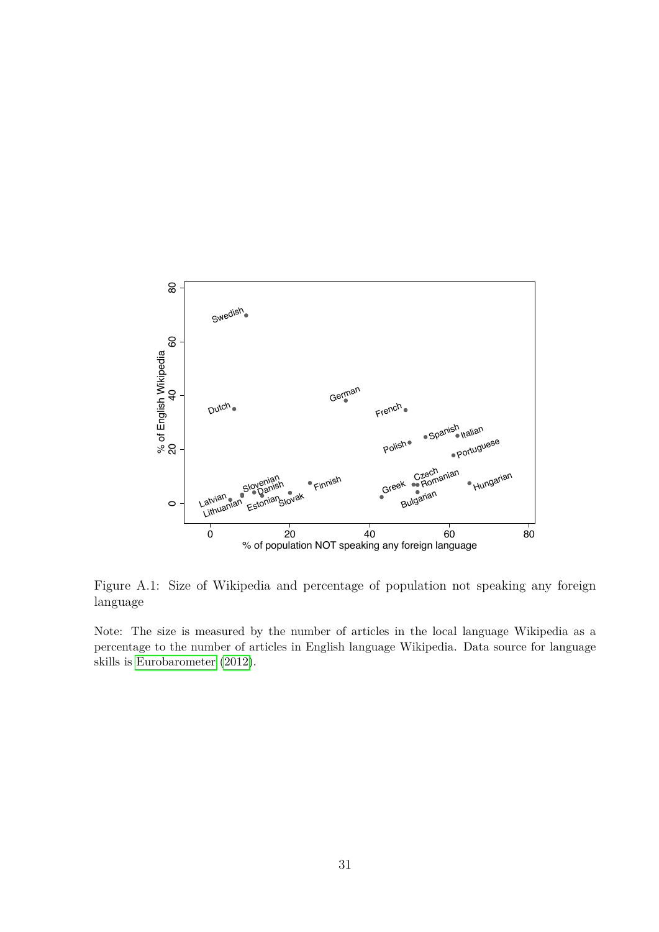

<span id="page-30-0"></span>Figure A.1: Size of Wikipedia and percentage of population not speaking any foreign language

Note: The size is measured by the number of articles in the local language Wikipedia as a percentage to the number of articles in English language Wikipedia. Data source for language skills is [Eurobarometer](#page-20-9) [\(2012\)](#page-20-9).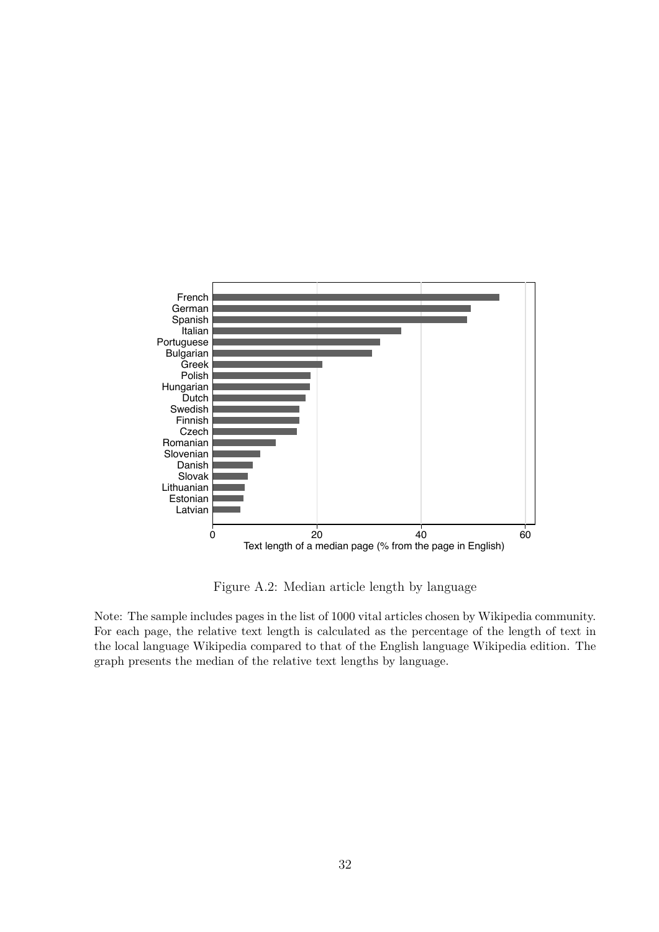

<span id="page-31-0"></span>Figure A.2: Median article length by language

Note: The sample includes pages in the list of 1000 vital articles chosen by Wikipedia community. For each page, the relative text length is calculated as the percentage of the length of text in the local language Wikipedia compared to that of the English language Wikipedia edition. The graph presents the median of the relative text lengths by language.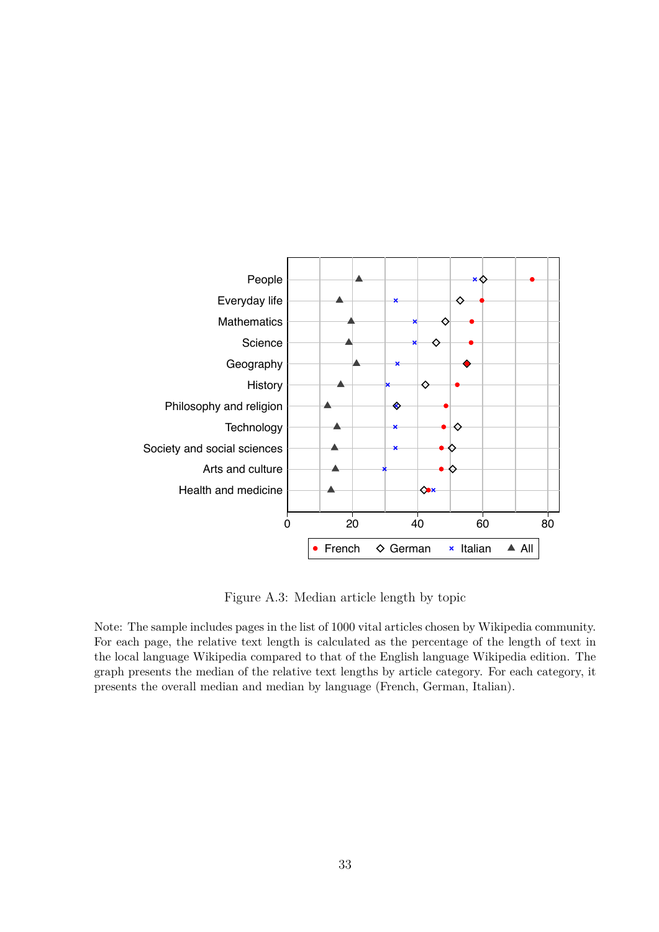

<span id="page-32-0"></span>Figure A.3: Median article length by topic

Note: The sample includes pages in the list of 1000 vital articles chosen by Wikipedia community. For each page, the relative text length is calculated as the percentage of the length of text in the local language Wikipedia compared to that of the English language Wikipedia edition. The graph presents the median of the relative text lengths by article category. For each category, it presents the overall median and median by language (French, German, Italian).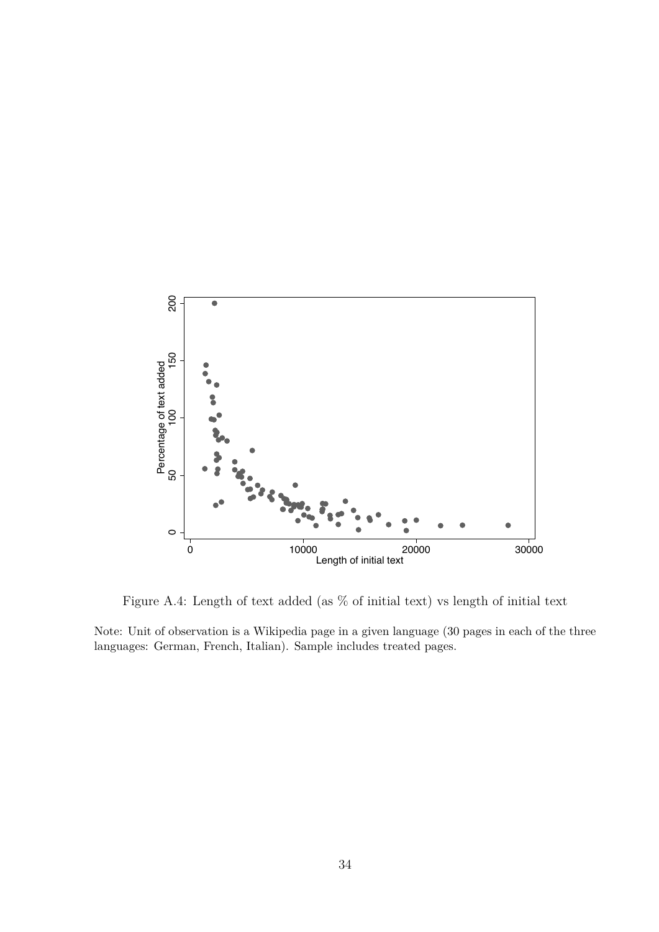

<span id="page-33-0"></span>Figure A.4: Length of text added (as % of initial text) vs length of initial text

Note: Unit of observation is a Wikipedia page in a given language (30 pages in each of the three languages: German, French, Italian). Sample includes treated pages.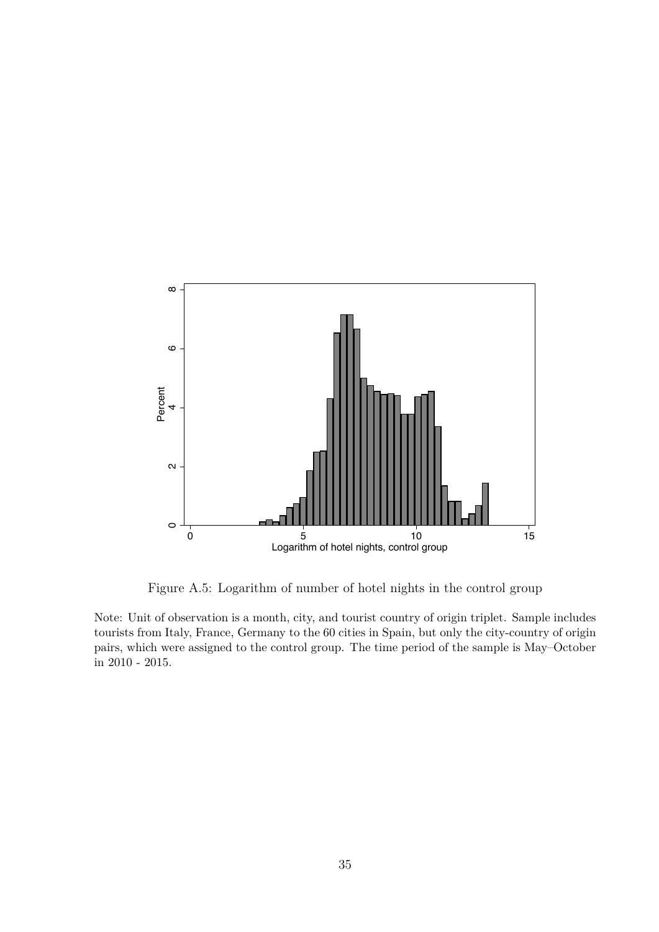

<span id="page-34-0"></span>Figure A.5: Logarithm of number of hotel nights in the control group

Note: Unit of observation is a month, city, and tourist country of origin triplet. Sample includes tourists from Italy, France, Germany to the 60 cities in Spain, but only the city-country of origin pairs, which were assigned to the control group. The time period of the sample is May–October in 2010 - 2015.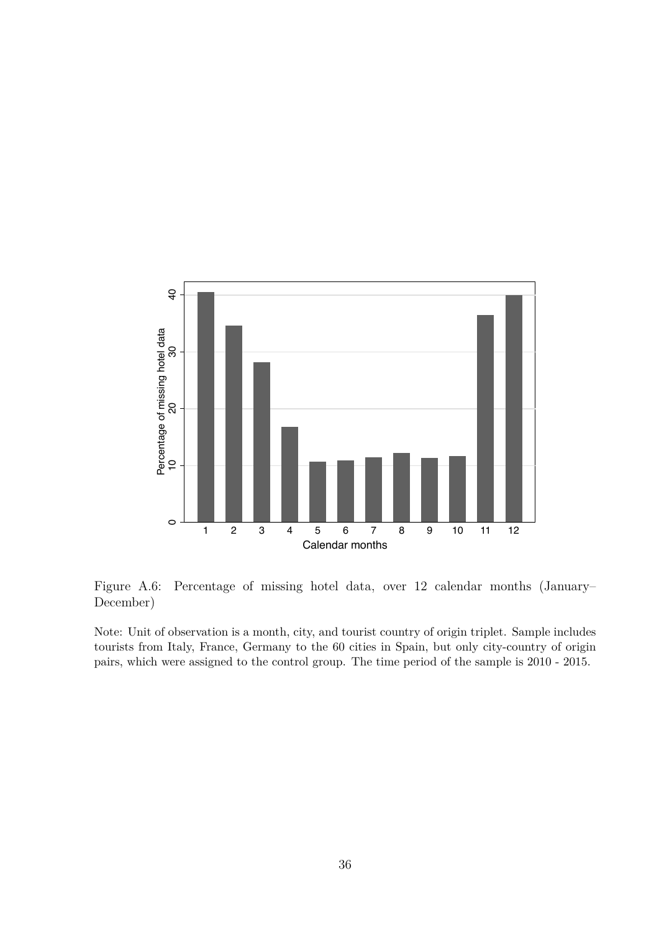

<span id="page-35-0"></span>Figure A.6: Percentage of missing hotel data, over 12 calendar months (January– December)

Note: Unit of observation is a month, city, and tourist country of origin triplet. Sample includes tourists from Italy, France, Germany to the 60 cities in Spain, but only city-country of origin pairs, which were assigned to the control group. The time period of the sample is 2010 - 2015.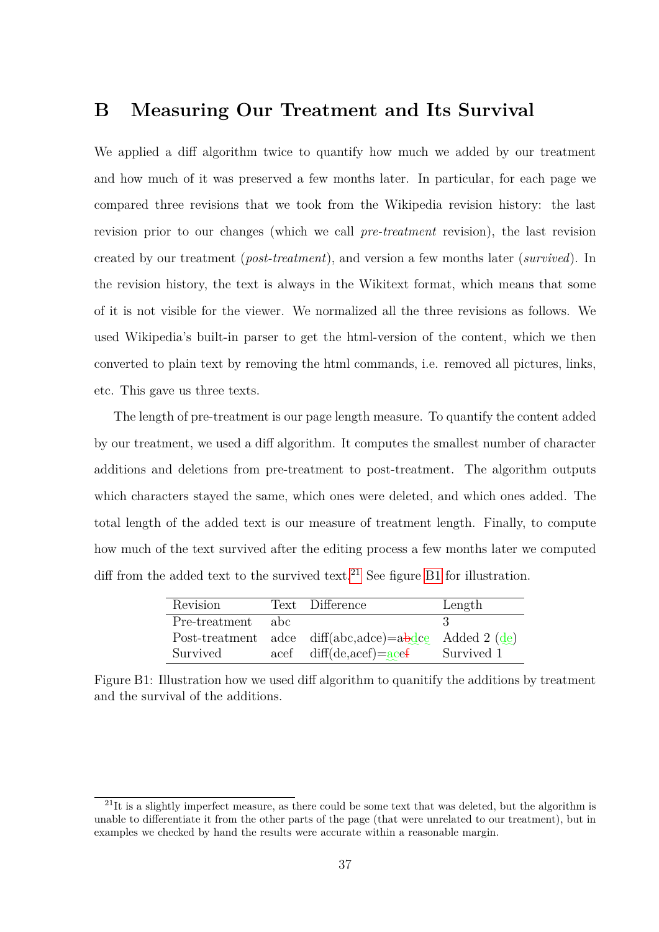# <span id="page-36-0"></span>**B Measuring Our Treatment and Its Survival**

We applied a diff algorithm twice to quantify how much we added by our treatment and how much of it was preserved a few months later. In particular, for each page we compared three revisions that we took from the Wikipedia revision history: the last revision prior to our changes (which we call *pre-treatment* revision), the last revision created by our treatment (*post-treatment*), and version a few months later (*survived*). In the revision history, the text is always in the Wikitext format, which means that some of it is not visible for the viewer. We normalized all the three revisions as follows. We used Wikipedia's built-in parser to get the html-version of the content, which we then converted to plain text by removing the html commands, i.e. removed all pictures, links, etc. This gave us three texts.

The length of pre-treatment is our page length measure. To quantify the content added by our treatment, we used a diff algorithm. It computes the smallest number of character additions and deletions from pre-treatment to post-treatment. The algorithm outputs which characters stayed the same, which ones were deleted, and which ones added. The total length of the added text is our measure of treatment length. Finally, to compute how much of the text survived after the editing process a few months later we computed diff from the added text to the survived text.<sup>[21](#page-36-1)</sup> See figure [B1](#page-36-2) for illustration.

| Revision      |       | Text Difference                                                                      | Length     |
|---------------|-------|--------------------------------------------------------------------------------------|------------|
| Pre-treatment | – abc |                                                                                      |            |
|               |       | Post-treatment adce diff(abc,adce)= $a\overline{b}$ dce Added 2 ( $\underline{d}$ e) |            |
| Survived      |       | $\text{acef}$ diff(de,acef)= $\text{acef}$                                           | Survived 1 |
|               |       |                                                                                      |            |

<span id="page-36-2"></span>Figure B1: Illustration how we used diff algorithm to quanitify the additions by treatment and the survival of the additions.

<span id="page-36-1"></span> $21$ It is a slightly imperfect measure, as there could be some text that was deleted, but the algorithm is unable to differentiate it from the other parts of the page (that were unrelated to our treatment), but in examples we checked by hand the results were accurate within a reasonable margin.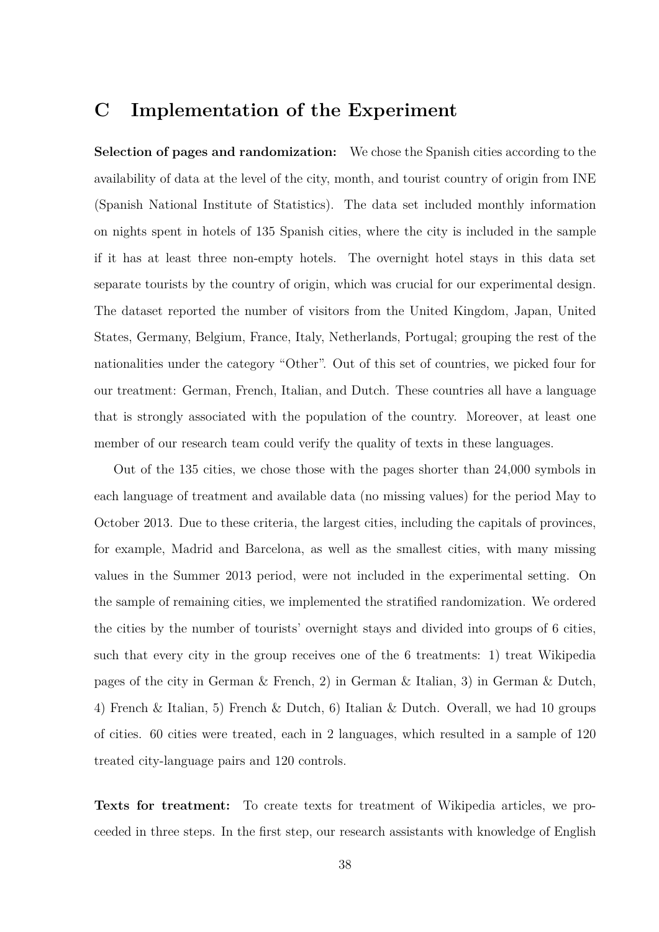# <span id="page-37-0"></span>**C Implementation of the Experiment**

**Selection of pages and randomization:** We chose the Spanish cities according to the availability of data at the level of the city, month, and tourist country of origin from INE (Spanish National Institute of Statistics). The data set included monthly information on nights spent in hotels of 135 Spanish cities, where the city is included in the sample if it has at least three non-empty hotels. The overnight hotel stays in this data set separate tourists by the country of origin, which was crucial for our experimental design. The dataset reported the number of visitors from the United Kingdom, Japan, United States, Germany, Belgium, France, Italy, Netherlands, Portugal; grouping the rest of the nationalities under the category "Other". Out of this set of countries, we picked four for our treatment: German, French, Italian, and Dutch. These countries all have a language that is strongly associated with the population of the country. Moreover, at least one member of our research team could verify the quality of texts in these languages.

Out of the 135 cities, we chose those with the pages shorter than 24,000 symbols in each language of treatment and available data (no missing values) for the period May to October 2013. Due to these criteria, the largest cities, including the capitals of provinces, for example, Madrid and Barcelona, as well as the smallest cities, with many missing values in the Summer 2013 period, were not included in the experimental setting. On the sample of remaining cities, we implemented the stratified randomization. We ordered the cities by the number of tourists' overnight stays and divided into groups of 6 cities, such that every city in the group receives one of the 6 treatments: 1) treat Wikipedia pages of the city in German & French, 2) in German & Italian, 3) in German & Dutch, 4) French & Italian, 5) French & Dutch, 6) Italian & Dutch. Overall, we had 10 groups of cities. 60 cities were treated, each in 2 languages, which resulted in a sample of 120 treated city-language pairs and 120 controls.

**Texts for treatment:** To create texts for treatment of Wikipedia articles, we proceeded in three steps. In the first step, our research assistants with knowledge of English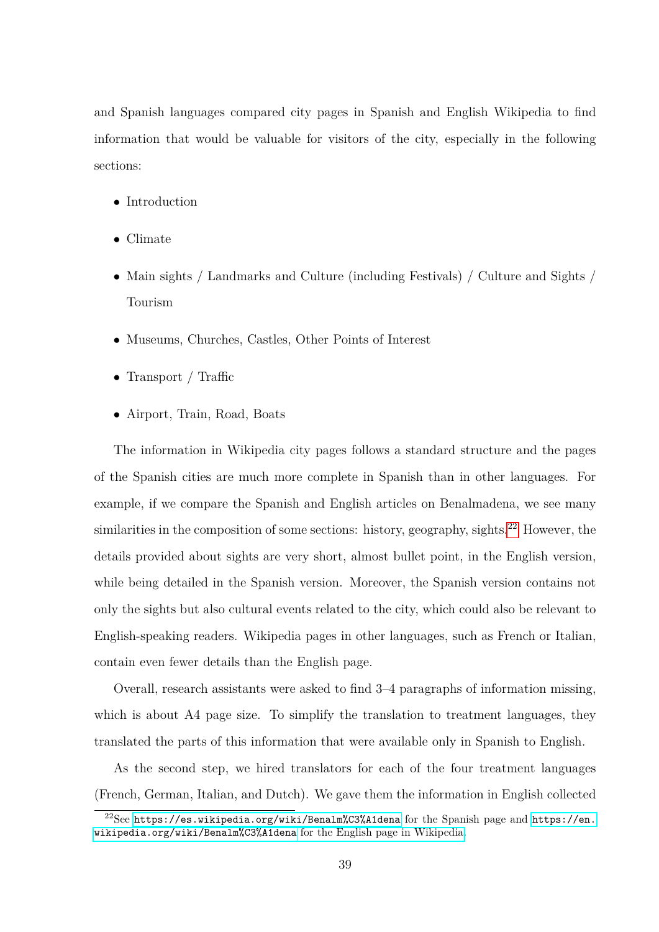and Spanish languages compared city pages in Spanish and English Wikipedia to find information that would be valuable for visitors of the city, especially in the following sections:

- Introduction
- Climate
- Main sights / Landmarks and Culture (including Festivals) / Culture and Sights / Tourism
- Museums, Churches, Castles, Other Points of Interest
- Transport / Traffic
- Airport, Train, Road, Boats

The information in Wikipedia city pages follows a standard structure and the pages of the Spanish cities are much more complete in Spanish than in other languages. For example, if we compare the Spanish and English articles on Benalmadena, we see many similarities in the composition of some sections: history, geography, sights.<sup>[22](#page-38-0)</sup> However, the details provided about sights are very short, almost bullet point, in the English version, while being detailed in the Spanish version. Moreover, the Spanish version contains not only the sights but also cultural events related to the city, which could also be relevant to English-speaking readers. Wikipedia pages in other languages, such as French or Italian, contain even fewer details than the English page.

Overall, research assistants were asked to find 3–4 paragraphs of information missing, which is about A4 page size. To simplify the translation to treatment languages, they translated the parts of this information that were available only in Spanish to English.

As the second step, we hired translators for each of the four treatment languages (French, German, Italian, and Dutch). We gave them the information in English collected

<span id="page-38-0"></span> $^{22}$ See <https://es.wikipedia.org/wiki/Benalm%C3%A1dena> for the Spanish page and [https://en.](https://en.wikipedia.org/wiki/Benalm%C3%A1dena) [wikipedia.org/wiki/Benalm%C3%A1dena](https://en.wikipedia.org/wiki/Benalm%C3%A1dena) for the English page in Wikipedia.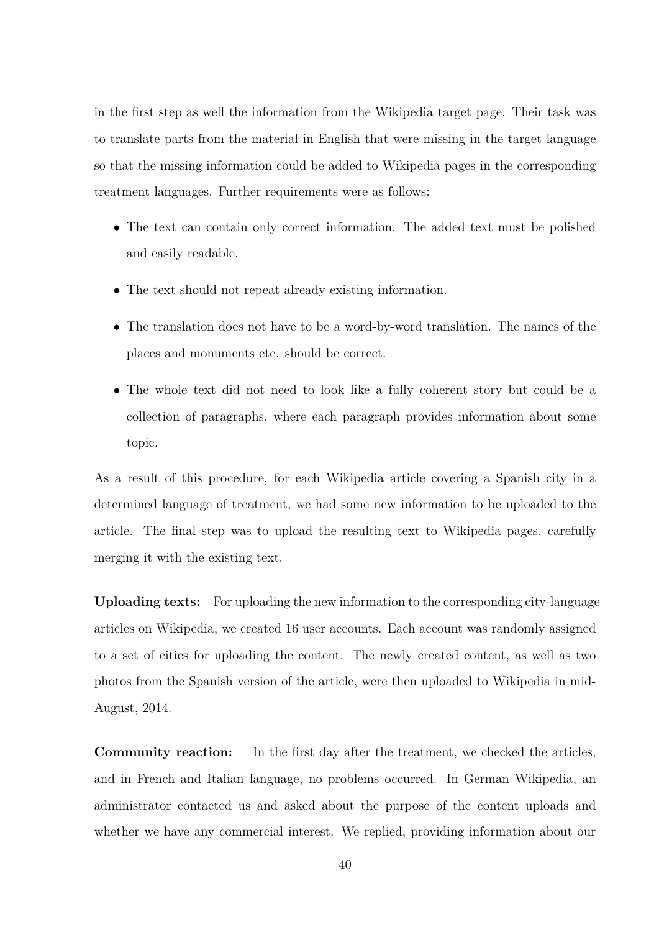in the first step as well the information from the Wikipedia target page. Their task was to translate parts from the material in English that were missing in the target language so that the missing information could be added to Wikipedia pages in the corresponding treatment languages. Further requirements were as follows:

- The text can contain only correct information. The added text must be polished and easily readable.
- The text should not repeat already existing information.
- The translation does not have to be a word-by-word translation. The names of the places and monuments etc. should be correct.
- The whole text did not need to look like a fully coherent story but could be a collection of paragraphs, where each paragraph provides information about some topic.

As a result of this procedure, for each Wikipedia article covering a Spanish city in a determined language of treatment, we had some new information to be uploaded to the article. The final step was to upload the resulting text to Wikipedia pages, carefully merging it with the existing text.

**Uploading texts:** For uploading the new information to the corresponding city-language articles on Wikipedia, we created 16 user accounts. Each account was randomly assigned to a set of cities for uploading the content. The newly created content, as well as two photos from the Spanish version of the article, were then uploaded to Wikipedia in mid-August, 2014.

**Community reaction:** In the first day after the treatment, we checked the articles, and in French and Italian language, no problems occurred. In German Wikipedia, an administrator contacted us and asked about the purpose of the content uploads and whether we have any commercial interest. We replied, providing information about our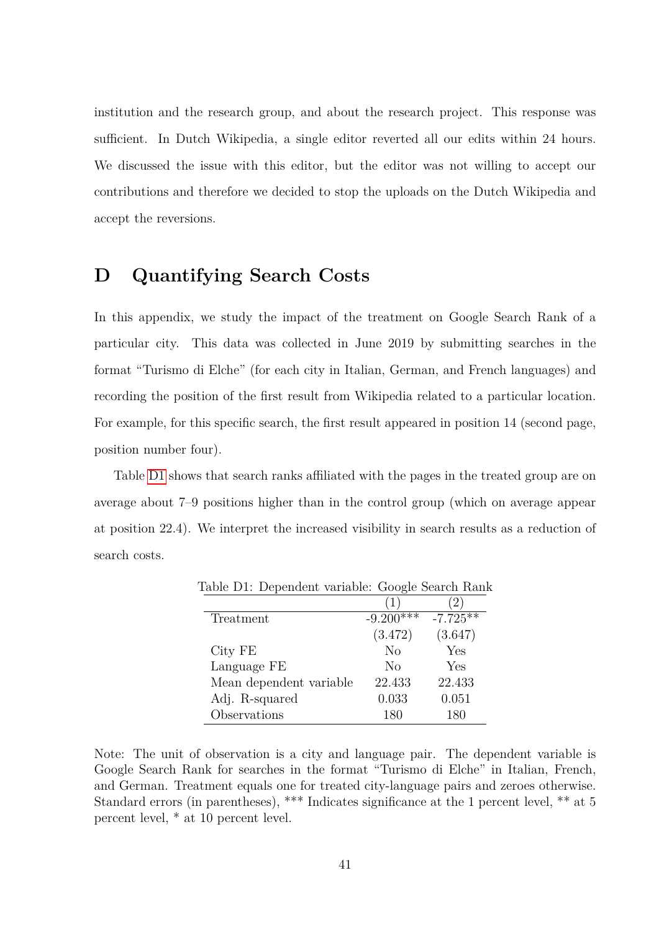institution and the research group, and about the research project. This response was sufficient. In Dutch Wikipedia, a single editor reverted all our edits within 24 hours. We discussed the issue with this editor, but the editor was not willing to accept our contributions and therefore we decided to stop the uploads on the Dutch Wikipedia and accept the reversions.

# <span id="page-40-1"></span>**D Quantifying Search Costs**

In this appendix, we study the impact of the treatment on Google Search Rank of a particular city. This data was collected in June 2019 by submitting searches in the format "Turismo di Elche" (for each city in Italian, German, and French languages) and recording the position of the first result from Wikipedia related to a particular location. For example, for this specific search, the first result appeared in position 14 (second page, position number four).

Table [D1](#page-40-0) shows that search ranks affiliated with the pages in the treated group are on average about 7–9 positions higher than in the control group (which on average appear at position 22*.*4). We interpret the increased visibility in search results as a reduction of search costs.

<span id="page-40-0"></span>

|                         | (1)            | (2, 2)     |
|-------------------------|----------------|------------|
| Treatment               | $-9.200***$    | $-7.725**$ |
|                         | (3.472)        | (3.647)    |
| City FE                 | N <sub>o</sub> | Yes        |
| Language FE             | No             | Yes        |
| Mean dependent variable | 22.433         | 22.433     |
| Adj. R-squared          | 0.033          | 0.051      |
| Observations            | 180            | 180        |

Table D1: Dependent variable: Google Search Rank

Note: The unit of observation is a city and language pair. The dependent variable is Google Search Rank for searches in the format "Turismo di Elche" in Italian, French, and German. Treatment equals one for treated city-language pairs and zeroes otherwise. Standard errors (in parentheses), \*\*\* Indicates significance at the 1 percent level, \*\* at 5 percent level, \* at 10 percent level.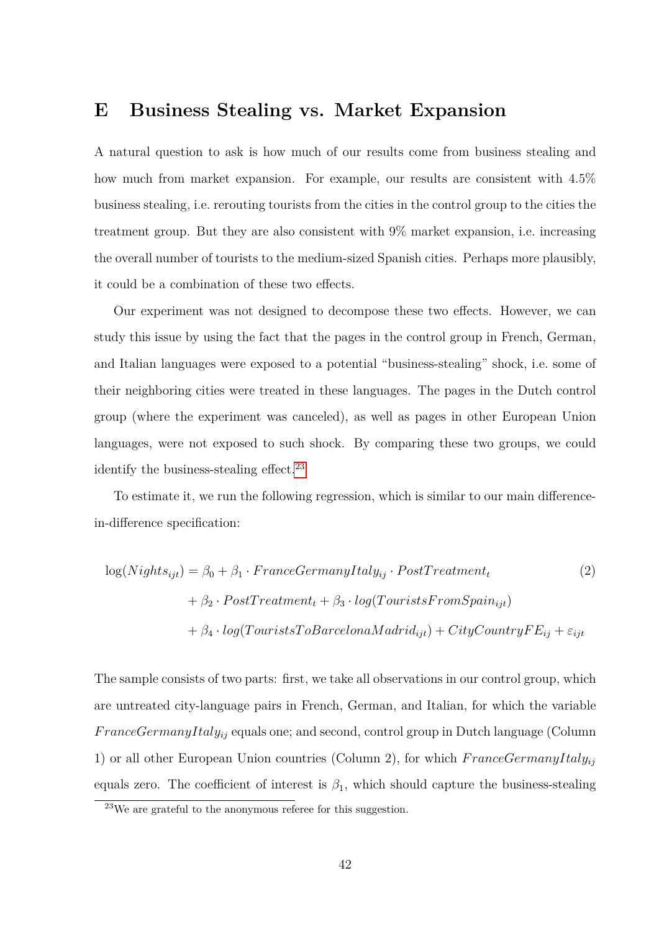# <span id="page-41-0"></span>**E Business Stealing vs. Market Expansion**

A natural question to ask is how much of our results come from business stealing and how much from market expansion. For example, our results are consistent with 4*.*5% business stealing, i.e. rerouting tourists from the cities in the control group to the cities the treatment group. But they are also consistent with 9% market expansion, i.e. increasing the overall number of tourists to the medium-sized Spanish cities. Perhaps more plausibly, it could be a combination of these two effects.

Our experiment was not designed to decompose these two effects. However, we can study this issue by using the fact that the pages in the control group in French, German, and Italian languages were exposed to a potential "business-stealing" shock, i.e. some of their neighboring cities were treated in these languages. The pages in the Dutch control group (where the experiment was canceled), as well as pages in other European Union languages, were not exposed to such shock. By comparing these two groups, we could identify the business-stealing effect.<sup>[23](#page-41-1)</sup>

To estimate it, we run the following regression, which is similar to our main differencein-difference specification:

$$
log(Nights_{ijt}) = \beta_0 + \beta_1 \cdot FranceGermanyItaly_{ij} \cdot PostTeatment_t
$$
\n
$$
+ \beta_2 \cdot PostTeatment_t + \beta_3 \cdot log(TouristsFrom Spain_{ijt})
$$
\n
$$
+ \beta_4 \cdot log(TouristsToBarcelona Madrid_{ijt}) + CityCountryFE_{ij} + \varepsilon_{ijt}
$$
\n(2)

The sample consists of two parts: first, we take all observations in our control group, which are untreated city-language pairs in French, German, and Italian, for which the variable *F ranceGermanyItalyij* equals one; and second, control group in Dutch language (Column 1) or all other European Union countries (Column 2), for which  $FranceGermanyItaly<sub>ij</sub>$ equals zero. The coefficient of interest is  $\beta_1$ , which should capture the business-stealing

<span id="page-41-1"></span><sup>23</sup>We are grateful to the anonymous referee for this suggestion.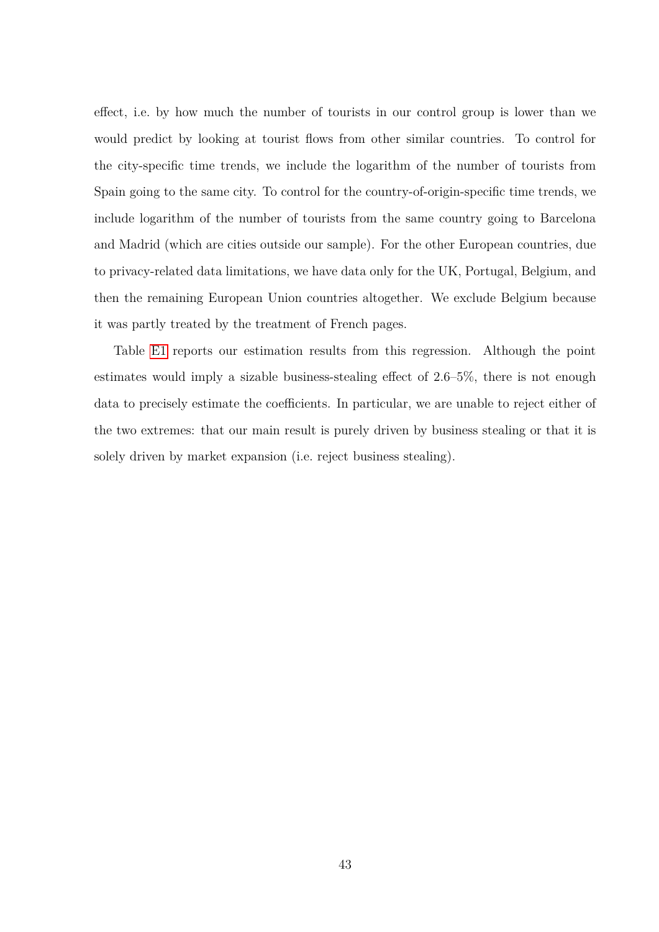effect, i.e. by how much the number of tourists in our control group is lower than we would predict by looking at tourist flows from other similar countries. To control for the city-specific time trends, we include the logarithm of the number of tourists from Spain going to the same city. To control for the country-of-origin-specific time trends, we include logarithm of the number of tourists from the same country going to Barcelona and Madrid (which are cities outside our sample). For the other European countries, due to privacy-related data limitations, we have data only for the UK, Portugal, Belgium, and then the remaining European Union countries altogether. We exclude Belgium because it was partly treated by the treatment of French pages.

Table [E1](#page-43-0) reports our estimation results from this regression. Although the point estimates would imply a sizable business-stealing effect of 2.6–5%, there is not enough data to precisely estimate the coefficients. In particular, we are unable to reject either of the two extremes: that our main result is purely driven by business stealing or that it is solely driven by market expansion (i.e. reject business stealing).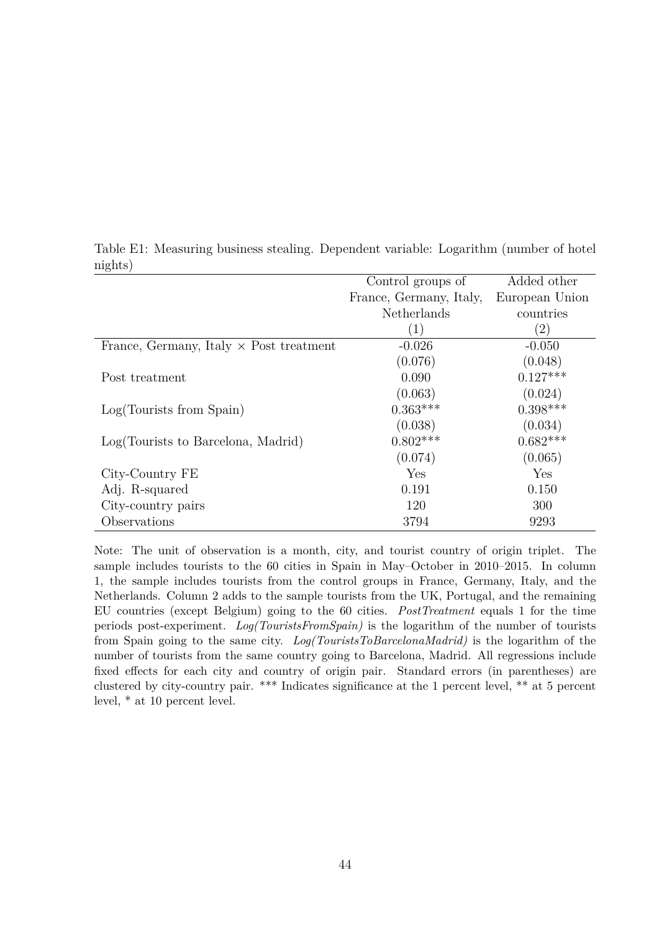|                                                | Control groups of       | Added other       |
|------------------------------------------------|-------------------------|-------------------|
|                                                | France, Germany, Italy, | European Union    |
|                                                | Netherlands             | countries         |
|                                                | $\left(1\right)$        | $\left( 2\right)$ |
| France, Germany, Italy $\times$ Post treatment | $-0.026$                | $-0.050$          |
|                                                | (0.076)                 | (0.048)           |
| Post treatment                                 | 0.090                   | $0.127***$        |
|                                                | (0.063)                 | (0.024)           |
| Log(Tourists from Spain)                       | $0.363***$              | $0.398***$        |
|                                                | (0.038)                 | (0.034)           |
| Log(Tourists to Barcelona, Madrid)             | $0.802***$              | $0.682***$        |
|                                                | (0.074)                 | (0.065)           |
| City-Country FE                                | Yes                     | Yes               |
| Adj. R-squared                                 | 0.191                   | 0.150             |
| City-country pairs                             | 120                     | 300               |
| Observations                                   | 3794                    | 9293              |

<span id="page-43-0"></span>Table E1: Measuring business stealing. Dependent variable: Logarithm (number of hotel nights)

Note: The unit of observation is a month, city, and tourist country of origin triplet. The sample includes tourists to the 60 cities in Spain in May–October in 2010–2015. In column 1, the sample includes tourists from the control groups in France, Germany, Italy, and the Netherlands. Column 2 adds to the sample tourists from the UK, Portugal, and the remaining EU countries (except Belgium) going to the 60 cities. *PostTreatment* equals 1 for the time periods post-experiment. *Log(TouristsFromSpain)* is the logarithm of the number of tourists from Spain going to the same city. *Log(TouristsToBarcelonaMadrid)* is the logarithm of the number of tourists from the same country going to Barcelona, Madrid. All regressions include fixed effects for each city and country of origin pair. Standard errors (in parentheses) are clustered by city-country pair. \*\*\* Indicates significance at the 1 percent level, \*\* at 5 percent level, \* at 10 percent level.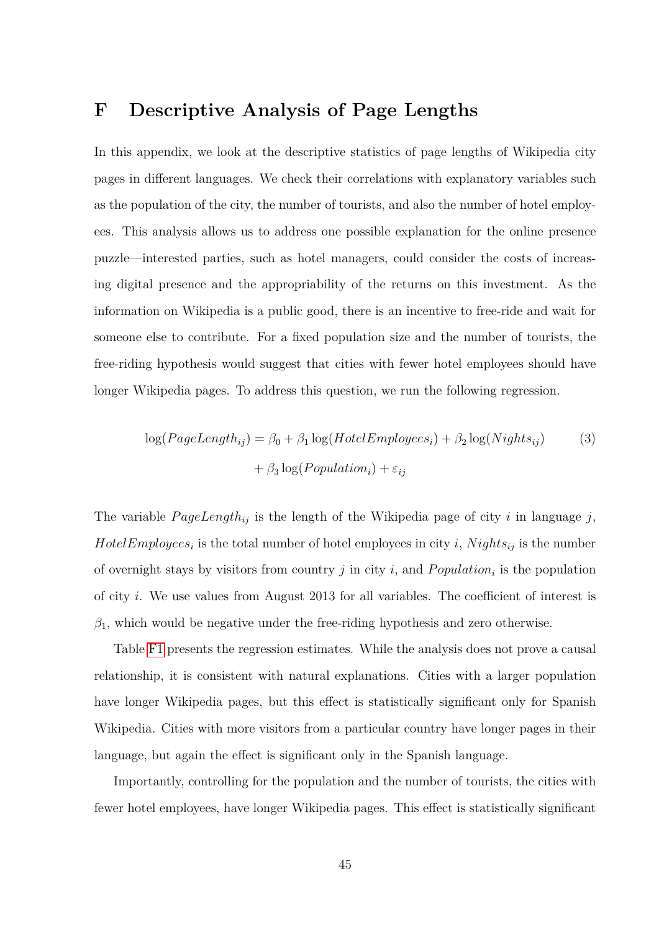# <span id="page-44-0"></span>**F Descriptive Analysis of Page Lengths**

In this appendix, we look at the descriptive statistics of page lengths of Wikipedia city pages in different languages. We check their correlations with explanatory variables such as the population of the city, the number of tourists, and also the number of hotel employees. This analysis allows us to address one possible explanation for the online presence puzzle—interested parties, such as hotel managers, could consider the costs of increasing digital presence and the appropriability of the returns on this investment. As the information on Wikipedia is a public good, there is an incentive to free-ride and wait for someone else to contribute. For a fixed population size and the number of tourists, the free-riding hypothesis would suggest that cities with fewer hotel employees should have longer Wikipedia pages. To address this question, we run the following regression.

$$
log(PageLength_{ij}) = \beta_0 + \beta_1 log(HotelEmployes_i) + \beta_2 log(Nights_{ij})
$$
\n
$$
+ \beta_3 log(Population_i) + \varepsilon_{ij}
$$
\n(3)

The variable  $PageLength_{ij}$  is the length of the Wikipedia page of city *i* in language *j*, *HotelEmployees*<sup>*i*</sup> is the total number of hotel employees in city *i*, *Nights*<sup>*i*</sup> is the number of overnight stays by visitors from country  $j$  in city  $i$ , and  $Population_i$  is the population of city *i*. We use values from August 2013 for all variables. The coefficient of interest is  $\beta_1$ , which would be negative under the free-riding hypothesis and zero otherwise.

Table [F1](#page-45-0) presents the regression estimates. While the analysis does not prove a causal relationship, it is consistent with natural explanations. Cities with a larger population have longer Wikipedia pages, but this effect is statistically significant only for Spanish Wikipedia. Cities with more visitors from a particular country have longer pages in their language, but again the effect is significant only in the Spanish language.

Importantly, controlling for the population and the number of tourists, the cities with fewer hotel employees, have longer Wikipedia pages. This effect is statistically significant